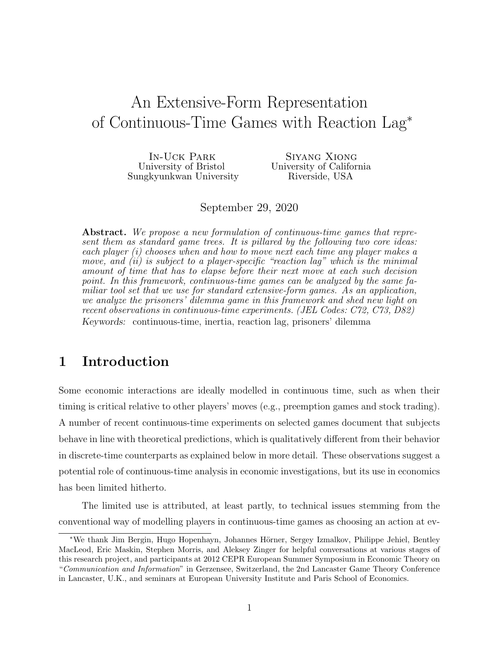# An Extensive-Form Representation of Continuous-Time Games with Reaction Lag<sup>∗</sup>

In-Uck Park University of Bristol Sungkyunkwan University

Siyang Xiong University of California Riverside, USA

September 29, 2020

Abstract. We propose a new formulation of continuous-time games that represent them as standard game trees. It is pillared by the following two core ideas: each player (i) chooses when and how to move next each time any player makes a move, and  $(ii)$  is subject to a player-specific "reaction lag" which is the minimal amount of time that has to elapse before their next move at each such decision point. In this framework, continuous-time games can be analyzed by the same familiar tool set that we use for standard extensive-form games. As an application, we analyze the prisoners' dilemma game in this framework and shed new light on recent observations in continuous-time experiments. (JEL Codes: C72, C73, D82) Keywords: continuous-time, inertia, reaction lag, prisoners' dilemma

## 1 Introduction

Some economic interactions are ideally modelled in continuous time, such as when their timing is critical relative to other players' moves (e.g., preemption games and stock trading). A number of recent continuous-time experiments on selected games document that subjects behave in line with theoretical predictions, which is qualitatively different from their behavior in discrete-time counterparts as explained below in more detail. These observations suggest a potential role of continuous-time analysis in economic investigations, but its use in economics has been limited hitherto.

The limited use is attributed, at least partly, to technical issues stemming from the conventional way of modelling players in continuous-time games as choosing an action at ev-

<sup>∗</sup>We thank Jim Bergin, Hugo Hopenhayn, Johannes H¨orner, Sergey Izmalkov, Philippe Jehiel, Bentley MacLeod, Eric Maskin, Stephen Morris, and Aleksey Zinger for helpful conversations at various stages of this research project, and participants at 2012 CEPR European Summer Symposium in Economic Theory on "Communication and Information" in Gerzensee, Switzerland, the 2nd Lancaster Game Theory Conference in Lancaster, U.K., and seminars at European University Institute and Paris School of Economics.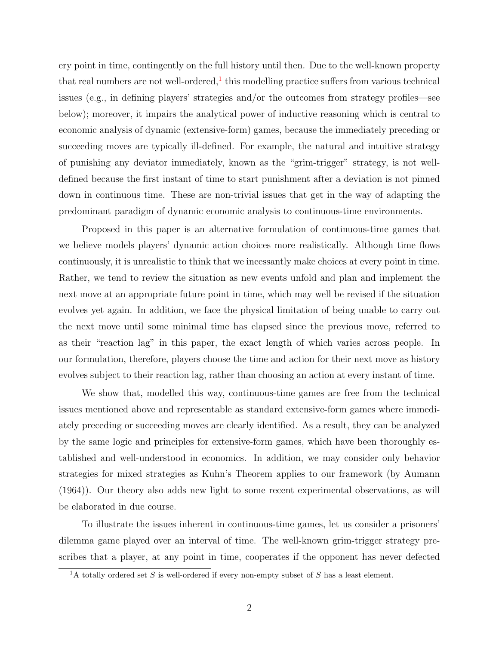ery point in time, contingently on the full history until then. Due to the well-known property that real numbers are not well-ordered, $<sup>1</sup>$  $<sup>1</sup>$  $<sup>1</sup>$  this modelling practice suffers from various technical</sup> issues (e.g., in defining players' strategies and/or the outcomes from strategy profiles—see below); moreover, it impairs the analytical power of inductive reasoning which is central to economic analysis of dynamic (extensive-form) games, because the immediately preceding or succeeding moves are typically ill-defined. For example, the natural and intuitive strategy of punishing any deviator immediately, known as the "grim-trigger" strategy, is not welldefined because the first instant of time to start punishment after a deviation is not pinned down in continuous time. These are non-trivial issues that get in the way of adapting the predominant paradigm of dynamic economic analysis to continuous-time environments.

Proposed in this paper is an alternative formulation of continuous-time games that we believe models players' dynamic action choices more realistically. Although time flows continuously, it is unrealistic to think that we incessantly make choices at every point in time. Rather, we tend to review the situation as new events unfold and plan and implement the next move at an appropriate future point in time, which may well be revised if the situation evolves yet again. In addition, we face the physical limitation of being unable to carry out the next move until some minimal time has elapsed since the previous move, referred to as their "reaction lag" in this paper, the exact length of which varies across people. In our formulation, therefore, players choose the time and action for their next move as history evolves subject to their reaction lag, rather than choosing an action at every instant of time.

We show that, modelled this way, continuous-time games are free from the technical issues mentioned above and representable as standard extensive-form games where immediately preceding or succeeding moves are clearly identified. As a result, they can be analyzed by the same logic and principles for extensive-form games, which have been thoroughly established and well-understood in economics. In addition, we may consider only behavior strategies for mixed strategies as Kuhn's Theorem applies to our framework (by Aumann (1964)). Our theory also adds new light to some recent experimental observations, as will be elaborated in due course.

To illustrate the issues inherent in continuous-time games, let us consider a prisoners' dilemma game played over an interval of time. The well-known grim-trigger strategy prescribes that a player, at any point in time, cooperates if the opponent has never defected

<span id="page-1-0"></span> ${}^{1}\text{A}$  totally ordered set S is well-ordered if every non-empty subset of S has a least element.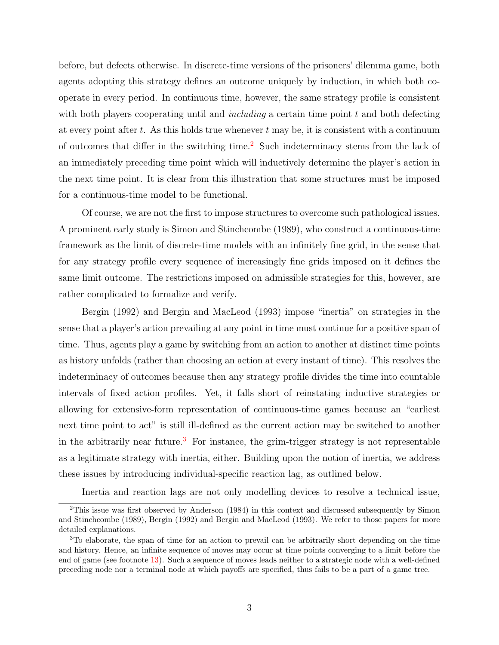before, but defects otherwise. In discrete-time versions of the prisoners' dilemma game, both agents adopting this strategy defines an outcome uniquely by induction, in which both cooperate in every period. In continuous time, however, the same strategy profile is consistent with both players cooperating until and *including* a certain time point  $t$  and both defecting at every point after  $t$ . As this holds true whenever  $t$  may be, it is consistent with a continuum of outcomes that differ in the switching time.[2](#page-2-0) Such indeterminacy stems from the lack of an immediately preceding time point which will inductively determine the player's action in the next time point. It is clear from this illustration that some structures must be imposed for a continuous-time model to be functional.

Of course, we are not the first to impose structures to overcome such pathological issues. A prominent early study is Simon and Stinchcombe (1989), who construct a continuous-time framework as the limit of discrete-time models with an infinitely fine grid, in the sense that for any strategy profile every sequence of increasingly fine grids imposed on it defines the same limit outcome. The restrictions imposed on admissible strategies for this, however, are rather complicated to formalize and verify.

Bergin (1992) and Bergin and MacLeod (1993) impose "inertia" on strategies in the sense that a player's action prevailing at any point in time must continue for a positive span of time. Thus, agents play a game by switching from an action to another at distinct time points as history unfolds (rather than choosing an action at every instant of time). This resolves the indeterminacy of outcomes because then any strategy profile divides the time into countable intervals of fixed action profiles. Yet, it falls short of reinstating inductive strategies or allowing for extensive-form representation of continuous-time games because an "earliest next time point to act" is still ill-defined as the current action may be switched to another in the arbitrarily near future.<sup>[3](#page-2-1)</sup> For instance, the grim-trigger strategy is not representable as a legitimate strategy with inertia, either. Building upon the notion of inertia, we address these issues by introducing individual-specific reaction lag, as outlined below.

<span id="page-2-0"></span>Inertia and reaction lags are not only modelling devices to resolve a technical issue,

<sup>2</sup>This issue was first observed by Anderson (1984) in this context and discussed subsequently by Simon and Stinchcombe (1989), Bergin (1992) and Bergin and MacLeod (1993). We refer to those papers for more detailed explanations.

<span id="page-2-1"></span><sup>3</sup>To elaborate, the span of time for an action to prevail can be arbitrarily short depending on the time and history. Hence, an infinite sequence of moves may occur at time points converging to a limit before the end of game (see footnote [13\)](#page-15-0). Such a sequence of moves leads neither to a strategic node with a well-defined preceding node nor a terminal node at which payoffs are specified, thus fails to be a part of a game tree.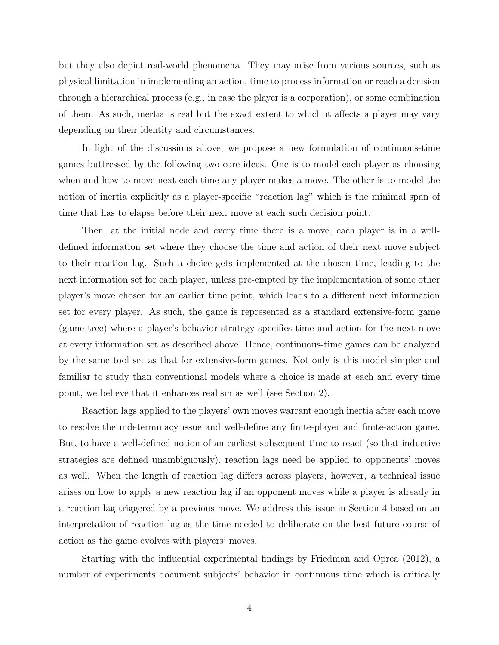but they also depict real-world phenomena. They may arise from various sources, such as physical limitation in implementing an action, time to process information or reach a decision through a hierarchical process (e.g., in case the player is a corporation), or some combination of them. As such, inertia is real but the exact extent to which it affects a player may vary depending on their identity and circumstances.

In light of the discussions above, we propose a new formulation of continuous-time games buttressed by the following two core ideas. One is to model each player as choosing when and how to move next each time any player makes a move. The other is to model the notion of inertia explicitly as a player-specific "reaction lag" which is the minimal span of time that has to elapse before their next move at each such decision point.

Then, at the initial node and every time there is a move, each player is in a welldefined information set where they choose the time and action of their next move subject to their reaction lag. Such a choice gets implemented at the chosen time, leading to the next information set for each player, unless pre-empted by the implementation of some other player's move chosen for an earlier time point, which leads to a different next information set for every player. As such, the game is represented as a standard extensive-form game (game tree) where a player's behavior strategy specifies time and action for the next move at every information set as described above. Hence, continuous-time games can be analyzed by the same tool set as that for extensive-form games. Not only is this model simpler and familiar to study than conventional models where a choice is made at each and every time point, we believe that it enhances realism as well (see Section 2).

Reaction lags applied to the players' own moves warrant enough inertia after each move to resolve the indeterminacy issue and well-define any finite-player and finite-action game. But, to have a well-defined notion of an earliest subsequent time to react (so that inductive strategies are defined unambiguously), reaction lags need be applied to opponents' moves as well. When the length of reaction lag differs across players, however, a technical issue arises on how to apply a new reaction lag if an opponent moves while a player is already in a reaction lag triggered by a previous move. We address this issue in Section 4 based on an interpretation of reaction lag as the time needed to deliberate on the best future course of action as the game evolves with players' moves.

Starting with the influential experimental findings by Friedman and Oprea (2012), a number of experiments document subjects' behavior in continuous time which is critically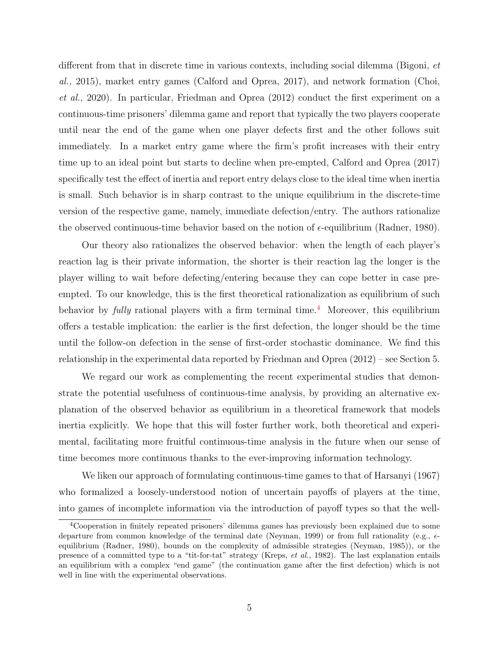different from that in discrete time in various contexts, including social dilemma (Bigoni, et al., 2015), market entry games (Calford and Oprea, 2017), and network formation (Choi, et al., 2020). In particular, Friedman and Oprea (2012) conduct the first experiment on a continuous-time prisoners' dilemma game and report that typically the two players cooperate until near the end of the game when one player defects first and the other follows suit immediately. In a market entry game where the firm's profit increases with their entry time up to an ideal point but starts to decline when pre-empted, Calford and Oprea (2017) specifically test the effect of inertia and report entry delays close to the ideal time when inertia is small. Such behavior is in sharp contrast to the unique equilibrium in the discrete-time version of the respective game, namely, immediate defection/entry. The authors rationalize the observed continuous-time behavior based on the notion of  $\epsilon$ -equilibrium (Radner, 1980).

Our theory also rationalizes the observed behavior: when the length of each player's reaction lag is their private information, the shorter is their reaction lag the longer is the player willing to wait before defecting/entering because they can cope better in case preempted. To our knowledge, this is the first theoretical rationalization as equilibrium of such behavior by  $fully$  rational players with a firm terminal time.<sup>[4](#page-4-0)</sup> Moreover, this equilibrium offers a testable implication: the earlier is the first defection, the longer should be the time until the follow-on defection in the sense of first-order stochastic dominance. We find this relationship in the experimental data reported by Friedman and Oprea (2012) – see Section 5.

We regard our work as complementing the recent experimental studies that demonstrate the potential usefulness of continuous-time analysis, by providing an alternative explanation of the observed behavior as equilibrium in a theoretical framework that models inertia explicitly. We hope that this will foster further work, both theoretical and experimental, facilitating more fruitful continuous-time analysis in the future when our sense of time becomes more continuous thanks to the ever-improving information technology.

We liken our approach of formulating continuous-time games to that of Harsanyi (1967) who formalized a loosely-understood notion of uncertain payoffs of players at the time, into games of incomplete information via the introduction of payoff types so that the well-

<span id="page-4-0"></span><sup>4</sup>Cooperation in finitely repeated prisoners' dilemma games has previously been explained due to some departure from common knowledge of the terminal date (Neyman, 1999) or from full rationality (e.g.,  $\epsilon$ equilibrium (Radner, 1980), bounds on the complexity of admissible strategies (Neyman, 1985)), or the presence of a committed type to a "tit-for-tat" strategy (Kreps, et al., 1982). The last explanation entails an equilibrium with a complex "end game" (the continuation game after the first defection) which is not well in line with the experimental observations.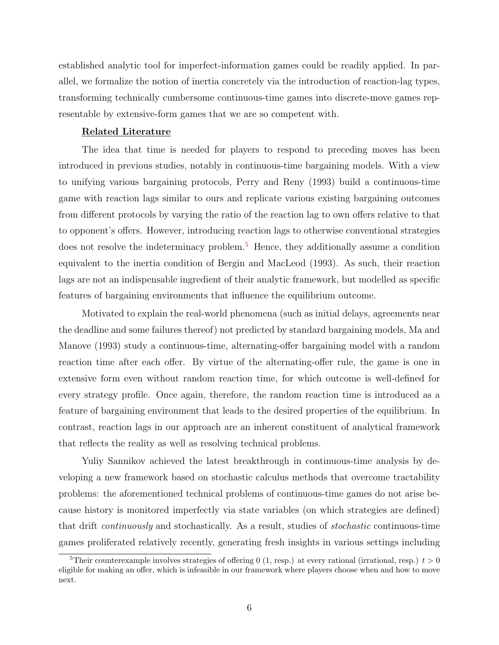established analytic tool for imperfect-information games could be readily applied. In parallel, we formalize the notion of inertia concretely via the introduction of reaction-lag types, transforming technically cumbersome continuous-time games into discrete-move games representable by extensive-form games that we are so competent with.

#### Related Literature

The idea that time is needed for players to respond to preceding moves has been introduced in previous studies, notably in continuous-time bargaining models. With a view to unifying various bargaining protocols, Perry and Reny (1993) build a continuous-time game with reaction lags similar to ours and replicate various existing bargaining outcomes from different protocols by varying the ratio of the reaction lag to own offers relative to that to opponent's offers. However, introducing reaction lags to otherwise conventional strategies does not resolve the indeterminacy problem.[5](#page-5-0) Hence, they additionally assume a condition equivalent to the inertia condition of Bergin and MacLeod (1993). As such, their reaction lags are not an indispensable ingredient of their analytic framework, but modelled as specific features of bargaining environments that influence the equilibrium outcome.

Motivated to explain the real-world phenomena (such as initial delays, agreements near the deadline and some failures thereof) not predicted by standard bargaining models, Ma and Manove (1993) study a continuous-time, alternating-offer bargaining model with a random reaction time after each offer. By virtue of the alternating-offer rule, the game is one in extensive form even without random reaction time, for which outcome is well-defined for every strategy profile. Once again, therefore, the random reaction time is introduced as a feature of bargaining environment that leads to the desired properties of the equilibrium. In contrast, reaction lags in our approach are an inherent constituent of analytical framework that reflects the reality as well as resolving technical problems.

Yuliy Sannikov achieved the latest breakthrough in continuous-time analysis by developing a new framework based on stochastic calculus methods that overcome tractability problems: the aforementioned technical problems of continuous-time games do not arise because history is monitored imperfectly via state variables (on which strategies are defined) that drift continuously and stochastically. As a result, studies of stochastic continuous-time games proliferated relatively recently, generating fresh insights in various settings including

<span id="page-5-0"></span><sup>&</sup>lt;sup>5</sup>Their counterexample involves strategies of offering 0 (1, resp.) at every rational (irrational, resp.)  $t > 0$ eligible for making an offer, which is infeasible in our framework where players choose when and how to move next.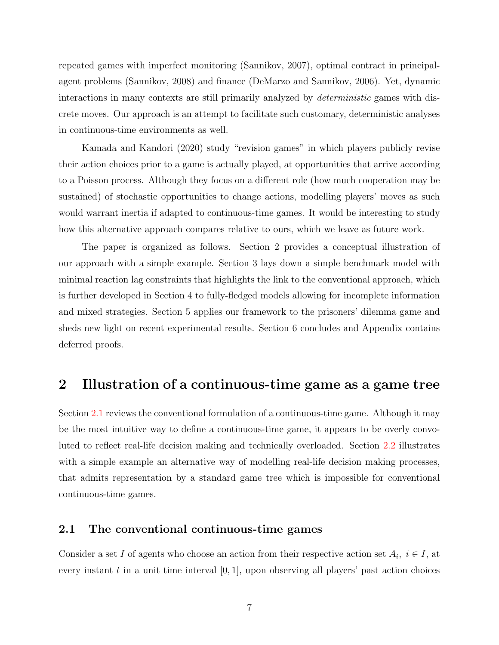repeated games with imperfect monitoring (Sannikov, 2007), optimal contract in principalagent problems (Sannikov, 2008) and finance (DeMarzo and Sannikov, 2006). Yet, dynamic interactions in many contexts are still primarily analyzed by *deterministic* games with discrete moves. Our approach is an attempt to facilitate such customary, deterministic analyses in continuous-time environments as well.

Kamada and Kandori (2020) study "revision games" in which players publicly revise their action choices prior to a game is actually played, at opportunities that arrive according to a Poisson process. Although they focus on a different role (how much cooperation may be sustained) of stochastic opportunities to change actions, modelling players' moves as such would warrant inertia if adapted to continuous-time games. It would be interesting to study how this alternative approach compares relative to ours, which we leave as future work.

The paper is organized as follows. Section 2 provides a conceptual illustration of our approach with a simple example. Section 3 lays down a simple benchmark model with minimal reaction lag constraints that highlights the link to the conventional approach, which is further developed in Section 4 to fully-fledged models allowing for incomplete information and mixed strategies. Section 5 applies our framework to the prisoners' dilemma game and sheds new light on recent experimental results. Section 6 concludes and Appendix contains deferred proofs.

### 2 Illustration of a continuous-time game as a game tree

Section [2.1](#page-6-0) reviews the conventional formulation of a continuous-time game. Although it may be the most intuitive way to define a continuous-time game, it appears to be overly convoluted to reflect real-life decision making and technically overloaded. Section [2.2](#page-7-0) illustrates with a simple example an alternative way of modelling real-life decision making processes, that admits representation by a standard game tree which is impossible for conventional continuous-time games.

#### <span id="page-6-0"></span>2.1 The conventional continuous-time games

Consider a set I of agents who choose an action from their respective action set  $A_i$ ,  $i \in I$ , at every instant t in a unit time interval  $[0, 1]$ , upon observing all players' past action choices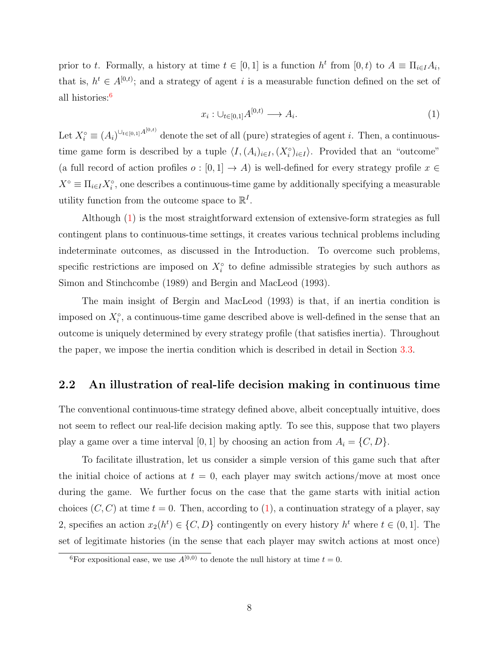prior to t. Formally, a history at time  $t \in [0,1]$  is a function  $h^t$  from  $[0,t)$  to  $A \equiv \prod_{i \in I} A_i$ , that is,  $h^t \in A^{[0,t)}$ ; and a strategy of agent i is a measurable function defined on the set of all histories:[6](#page-7-1)

<span id="page-7-2"></span>
$$
x_i: \cup_{t \in [0,1]} A^{[0,t)} \longrightarrow A_i. \tag{1}
$$

Let  $X_i^{\circ} \equiv (A_i)^{\cup_{t \in [0,1]} A^{[0,t)}}$  denote the set of all (pure) strategies of agent *i*. Then, a continuoustime game form is described by a tuple  $\langle I, (A_i)_{i\in I}, (X_i^{\circ})_{i\in I} \rangle$ . Provided that an "outcome" (a full record of action profiles  $o : [0,1] \to A$ ) is well-defined for every strategy profile  $x \in$  $X^{\circ} \equiv \prod_{i \in I} X_i^{\circ}$ , one describes a continuous-time game by additionally specifying a measurable utility function from the outcome space to  $\mathbb{R}^I$ .

Although [\(1\)](#page-7-2) is the most straightforward extension of extensive-form strategies as full contingent plans to continuous-time settings, it creates various technical problems including indeterminate outcomes, as discussed in the Introduction. To overcome such problems, specific restrictions are imposed on  $X_i^{\circ}$  to define admissible strategies by such authors as Simon and Stinchcombe (1989) and Bergin and MacLeod (1993).

The main insight of Bergin and MacLeod (1993) is that, if an inertia condition is imposed on  $X_i^{\circ}$ , a continuous-time game described above is well-defined in the sense that an outcome is uniquely determined by every strategy profile (that satisfies inertia). Throughout the paper, we impose the inertia condition which is described in detail in Section [3.3.](#page-14-0)

#### <span id="page-7-0"></span>2.2 An illustration of real-life decision making in continuous time

The conventional continuous-time strategy defined above, albeit conceptually intuitive, does not seem to reflect our real-life decision making aptly. To see this, suppose that two players play a game over a time interval [0, 1] by choosing an action from  $A_i = \{C, D\}.$ 

To facilitate illustration, let us consider a simple version of this game such that after the initial choice of actions at  $t = 0$ , each player may switch actions/move at most once during the game. We further focus on the case that the game starts with initial action choices  $(C, C)$  at time  $t = 0$ . Then, according to  $(1)$ , a continuation strategy of a player, say 2, specifies an action  $x_2(h^t) \in \{C, D\}$  contingently on every history  $h^t$  where  $t \in (0, 1]$ . The set of legitimate histories (in the sense that each player may switch actions at most once)

<span id="page-7-1"></span><sup>&</sup>lt;sup>6</sup>For expositional ease, we use  $A^{[0,0)}$  to denote the null history at time  $t = 0$ .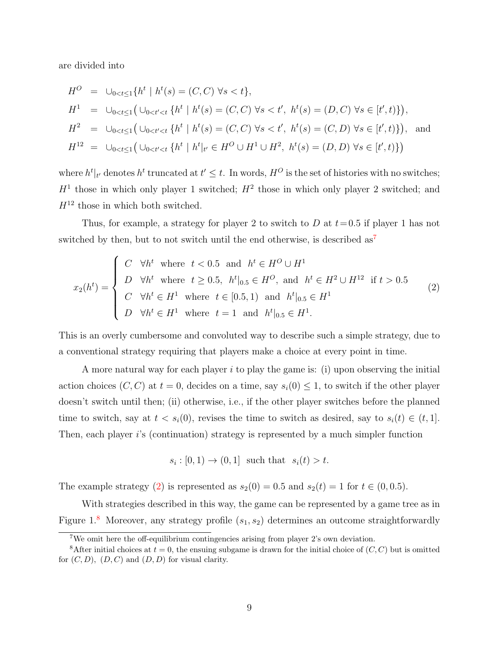are divided into

$$
H^{O} = \bigcup_{0 < t \leq 1} \{ h^{t} \mid h^{t}(s) = (C, C) \forall s < t \},
$$
\n
$$
H^{1} = \bigcup_{0 < t \leq 1} \left( \bigcup_{0 < t' < t} \{ h^{t} \mid h^{t}(s) = (C, C) \forall s < t', \ h^{t}(s) = (D, C) \forall s \in [t', t) \} \right),
$$
\n
$$
H^{2} = \bigcup_{0 < t \leq 1} \left( \bigcup_{0 < t' < t} \{ h^{t} \mid h^{t}(s) = (C, C) \forall s < t', \ h^{t}(s) = (C, D) \forall s \in [t', t) \} \right),
$$
\n
$$
H^{12} = \bigcup_{0 < t \leq 1} \left( \bigcup_{0 < t' < t} \{ h^{t} \mid h^{t} \mid_{t'} \in H^{O} \cup H^{1} \cup H^{2}, \ h^{t}(s) = (D, D) \forall s \in [t', t) \} \right)
$$

where  $h^t|_{t'}$  denotes  $h^t$  truncated at  $t' \leq t$ . In words,  $H^O$  is the set of histories with no switches;  $H<sup>1</sup>$  those in which only player 1 switched;  $H<sup>2</sup>$  those in which only player 2 switched; and  $H^{12}$  those in which both switched.

Thus, for example, a strategy for player 2 to switch to D at  $t=0.5$  if player 1 has not switched by then, but to not switch until the end otherwise, is described  $as<sup>7</sup>$  $as<sup>7</sup>$  $as<sup>7</sup>$ 

<span id="page-8-1"></span>
$$
x_2(h^t) = \begin{cases} C & \forall h^t \text{ where } t < 0.5 \text{ and } h^t \in H^O \cup H^1 \\ D & \forall h^t \text{ where } t \ge 0.5, \ h^t|_{0.5} \in H^O, \text{ and } h^t \in H^2 \cup H^{12} \text{ if } t > 0.5 \\ C & \forall h^t \in H^1 \text{ where } t \in [0.5, 1) \text{ and } h^t|_{0.5} \in H^1 \\ D & \forall h^t \in H^1 \text{ where } t = 1 \text{ and } h^t|_{0.5} \in H^1. \end{cases}
$$
(2)

This is an overly cumbersome and convoluted way to describe such a simple strategy, due to a conventional strategy requiring that players make a choice at every point in time.

A more natural way for each player  $i$  to play the game is: (i) upon observing the initial action choices  $(C, C)$  at  $t = 0$ , decides on a time, say  $s_i(0) \leq 1$ , to switch if the other player doesn't switch until then; (ii) otherwise, i.e., if the other player switches before the planned time to switch, say at  $t < s_i(0)$ , revises the time to switch as desired, say to  $s_i(t) \in (t, 1]$ . Then, each player i's (continuation) strategy is represented by a much simpler function

 $s_i : [0,1) \rightarrow (0,1]$  such that  $s_i(t) > t$ .

The example strategy [\(2\)](#page-8-1) is represented as  $s_2(0) = 0.5$  and  $s_2(t) = 1$  for  $t \in (0, 0.5)$ .

With strategies described in this way, the game can be represented by a game tree as in Figure 1.<sup>[8](#page-8-2)</sup> Moreover, any strategy profile  $(s_1, s_2)$  determines an outcome straightforwardly

<span id="page-8-2"></span><span id="page-8-0"></span><sup>7</sup>We omit here the off-equilibrium contingencies arising from player 2's own deviation.

<sup>&</sup>lt;sup>8</sup>After initial choices at  $t = 0$ , the ensuing subgame is drawn for the initial choice of  $(C, C)$  but is omitted for  $(C, D)$ ,  $(D, C)$  and  $(D, D)$  for visual clarity.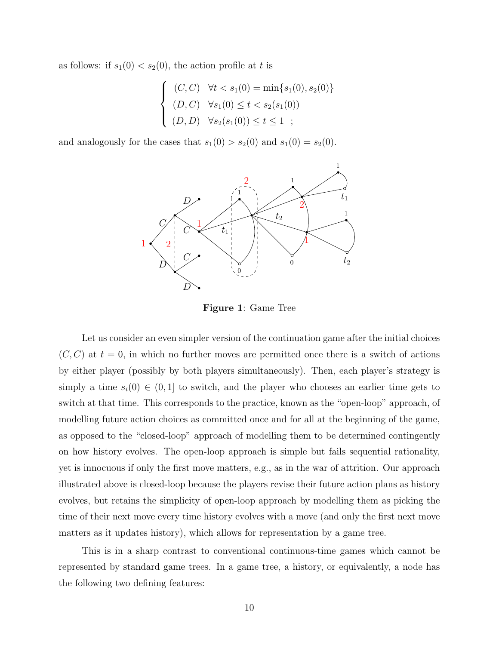as follows: if  $s_1(0) < s_2(0)$ , the action profile at t is

$$
\begin{cases}\n(C, C) & \forall t < s_1(0) = \min\{s_1(0), s_2(0)\} \\
(D, C) & \forall s_1(0) \le t < s_2(s_1(0)) \\
(D, D) & \forall s_2(s_1(0)) \le t \le 1\n\end{cases}
$$

and analogously for the cases that  $s_1(0) > s_2(0)$  and  $s_1(0) = s_2(0)$ .



Figure 1: Game Tree

Let us consider an even simpler version of the continuation game after the initial choices  $(C, C)$  at  $t = 0$ , in which no further moves are permitted once there is a switch of actions by either player (possibly by both players simultaneously). Then, each player's strategy is simply a time  $s_i(0) \in (0,1]$  to switch, and the player who chooses an earlier time gets to switch at that time. This corresponds to the practice, known as the "open-loop" approach, of modelling future action choices as committed once and for all at the beginning of the game, as opposed to the "closed-loop" approach of modelling them to be determined contingently on how history evolves. The open-loop approach is simple but fails sequential rationality, yet is innocuous if only the first move matters, e.g., as in the war of attrition. Our approach illustrated above is closed-loop because the players revise their future action plans as history evolves, but retains the simplicity of open-loop approach by modelling them as picking the time of their next move every time history evolves with a move (and only the first next move matters as it updates history), which allows for representation by a game tree.

This is in a sharp contrast to conventional continuous-time games which cannot be represented by standard game trees. In a game tree, a history, or equivalently, a node has the following two defining features: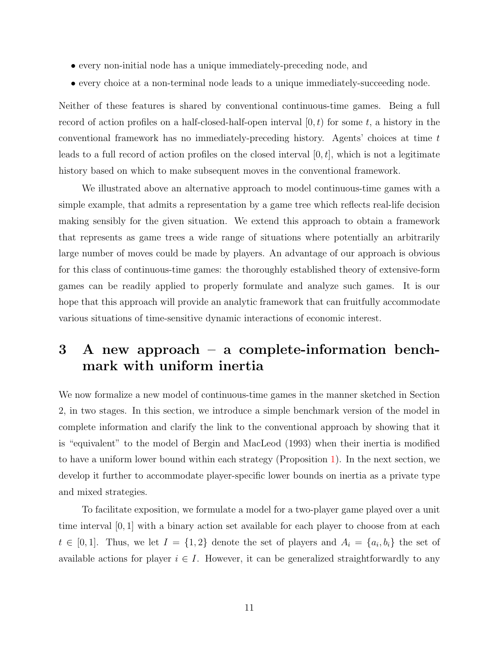- every non-initial node has a unique immediately-preceding node, and
- every choice at a non-terminal node leads to a unique immediately-succeeding node.

Neither of these features is shared by conventional continuous-time games. Being a full record of action profiles on a half-closed-half-open interval  $[0, t)$  for some t, a history in the conventional framework has no immediately-preceding history. Agents' choices at time t leads to a full record of action profiles on the closed interval  $[0, t]$ , which is not a legitimate history based on which to make subsequent moves in the conventional framework.

We illustrated above an alternative approach to model continuous-time games with a simple example, that admits a representation by a game tree which reflects real-life decision making sensibly for the given situation. We extend this approach to obtain a framework that represents as game trees a wide range of situations where potentially an arbitrarily large number of moves could be made by players. An advantage of our approach is obvious for this class of continuous-time games: the thoroughly established theory of extensive-form games can be readily applied to properly formulate and analyze such games. It is our hope that this approach will provide an analytic framework that can fruitfully accommodate various situations of time-sensitive dynamic interactions of economic interest.

# <span id="page-10-0"></span>3 A new approach – a complete-information benchmark with uniform inertia

We now formalize a new model of continuous-time games in the manner sketched in Section 2, in two stages. In this section, we introduce a simple benchmark version of the model in complete information and clarify the link to the conventional approach by showing that it is "equivalent" to the model of Bergin and MacLeod (1993) when their inertia is modified to have a uniform lower bound within each strategy (Proposition [1\)](#page-16-0). In the next section, we develop it further to accommodate player-specific lower bounds on inertia as a private type and mixed strategies.

To facilitate exposition, we formulate a model for a two-player game played over a unit time interval [0, 1] with a binary action set available for each player to choose from at each  $t \in [0,1].$  Thus, we let  $I = \{1,2\}$  denote the set of players and  $A_i = \{a_i, b_i\}$  the set of available actions for player  $i \in I$ . However, it can be generalized straightforwardly to any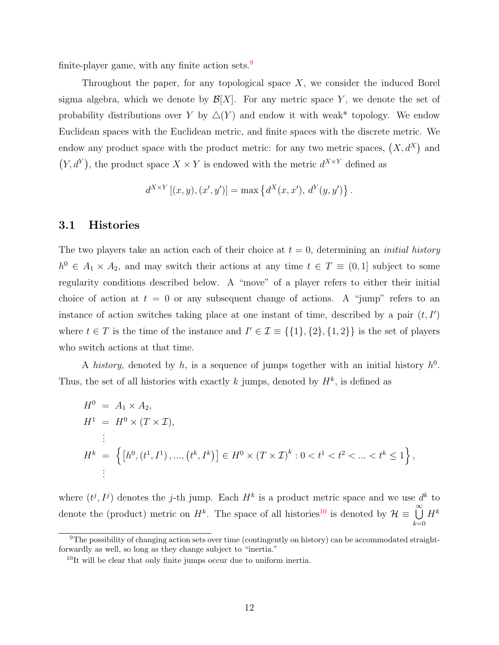finite-player game, with any finite action sets. $9$ 

Throughout the paper, for any topological space  $X$ , we consider the induced Borel sigma algebra, which we denote by  $\mathcal{B}[X]$ . For any metric space Y, we denote the set of probability distributions over Y by  $\Delta(Y)$  and endow it with weak\* topology. We endow Euclidean spaces with the Euclidean metric, and finite spaces with the discrete metric. We endow any product space with the product metric: for any two metric spaces,  $(X, d^X)$  and  $(Y, d^Y)$ , the product space  $X \times Y$  is endowed with the metric  $d^{X \times Y}$  defined as

$$
d^{X \times Y} [(x, y), (x', y')] = \max \{ d^X(x, x'), d^Y(y, y') \}.
$$

#### 3.1 Histories

The two players take an action each of their choice at  $t = 0$ , determining an *initial history*  $h^0 \in A_1 \times A_2$ , and may switch their actions at any time  $t \in T \equiv (0,1]$  subject to some regularity conditions described below. A "move" of a player refers to either their initial choice of action at  $t = 0$  or any subsequent change of actions. A "jump" refers to an instance of action switches taking place at one instant of time, described by a pair  $(t, I')$ where  $t \in T$  is the time of the instance and  $I' \in \mathcal{I} \equiv \{\{1\},\{2\},\{1,2\}\}\$ is the set of players who switch actions at that time.

A history, denoted by h, is a sequence of jumps together with an initial history  $h^0$ . Thus, the set of all histories with exactly k jumps, denoted by  $H^k$ , is defined as

$$
H^{0} = A_{1} \times A_{2},
$$
  
\n
$$
H^{1} = H^{0} \times (T \times \mathcal{I}),
$$
  
\n
$$
\vdots
$$
  
\n
$$
H^{k} = \left\{ \left[ h^{0}, (t^{1}, I^{1}), ..., (t^{k}, I^{k}) \right] \in H^{0} \times (T \times \mathcal{I})^{k} : 0 < t^{1} < t^{2} < ... < t^{k} \le 1 \right\},
$$
  
\n
$$
\vdots
$$

where  $(t^j, I^j)$  denotes the j-th jump. Each  $H^k$  is a product metric space and we use  $d^k$  to denote the (product) metric on  $H^k$ . The space of all histories<sup>[10](#page-11-1)</sup> is denoted by  $\mathcal{H} \equiv \bigcup_{k=1}^{\infty}$  $_{k=0}$  $H^k$ 

<span id="page-11-0"></span><sup>&</sup>lt;sup>9</sup>The possibility of changing action sets over time (contingently on history) can be accommodated straightforwardly as well, so long as they change subject to "inertia."

<span id="page-11-1"></span><sup>&</sup>lt;sup>10</sup>It will be clear that only finite jumps occur due to uniform inertia.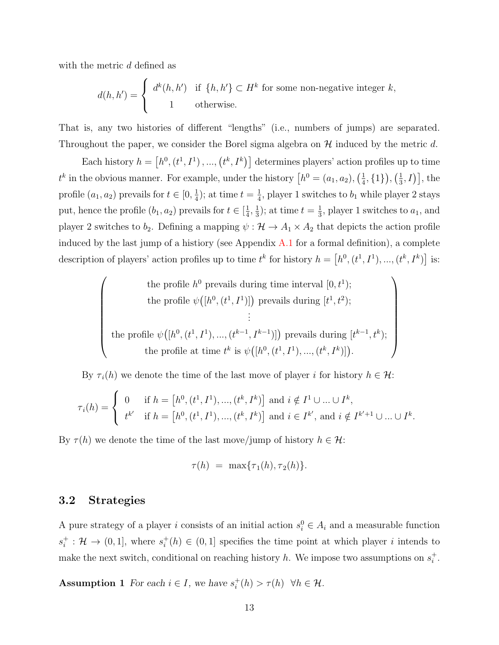with the metric d defined as

$$
d(h, h') = \begin{cases} d^{k}(h, h') & \text{if } \{h, h'\} \subset H^{k} \text{ for some non-negative integer } k, \\ 1 & \text{otherwise.} \end{cases}
$$

That is, any two histories of different "lengths" (i.e., numbers of jumps) are separated. Throughout the paper, we consider the Borel sigma algebra on  $\mathcal H$  induced by the metric d.

Each history  $h = [h^0, (t^1, I^1), ..., (t^k, I^k)]$  determines players' action profiles up to time  $t^k$  in the obvious manner. For example, under the history  $\left[h^0 = (a_1, a_2), \left(\frac{1}{4}\right)\right]$  $\frac{1}{4}, \{1\}\big), \left(\frac{1}{3}\right)$  $\left[\frac{1}{3}, I\right)\right]$ , the profile  $(a_1, a_2)$  prevails for  $t \in [0, \frac{1}{4}]$  $(\frac{1}{4})$ ; at time  $t=\frac{1}{4}$  $\frac{1}{4}$ , player 1 switches to  $b_1$  while player 2 stays put, hence the profile  $(b_1, a_2)$  prevails for  $t \in \left[\frac{1}{4}\right]$  $\frac{1}{4}, \frac{1}{3}$  $(\frac{1}{3})$ ; at time  $t=\frac{1}{3}$  $\frac{1}{3}$ , player 1 switches to  $a_1$ , and player 2 switches to  $b_2$ . Defining a mapping  $\psi : \mathcal{H} \to A_1 \times A_2$  that depicts the action profile induced by the last jump of a histiory (see Appendix  $A.1$  for a formal definition), a complete description of players' action profiles up to time  $t^k$  for history  $h = [h^0, (t^1, I^1), ..., (t^k, I^k)]$  is:

the profile 
$$
h^0
$$
 prevails during time interval  $[0, t^1)$ ;  
\nthe profile  $\psi([h^0, (t^1, I^1)])$  prevails during  $[t^1, t^2)$ ;  
\n $\vdots$   
\nthe profile  $\psi([h^0, (t^1, I^1), ..., (t^{k-1}, I^{k-1})])$  prevails during  $[t^{k-1}, t^k)$ ;  
\nthe profile at time  $t^k$  is  $\psi([h^0, (t^1, I^1), ..., (t^k, I^k)])$ .

By  $\tau_i(h)$  we denote the time of the last move of player i for history  $h \in \mathcal{H}$ :

$$
\tau_i(h) = \begin{cases} 0 & \text{if } h = [h^0, (t^1, I^1), ..., (t^k, I^k)] \text{ and } i \notin I^1 \cup ... \cup I^k, \\ t^{k'} & \text{if } h = [h^0, (t^1, I^1), ..., (t^k, I^k)] \text{ and } i \in I^{k'}, \text{ and } i \notin I^{k'+1} \cup ... \cup I^k. \end{cases}
$$

By  $\tau(h)$  we denote the time of the last move/jump of history  $h \in \mathcal{H}$ :

<span id="page-12-0"></span>
$$
\tau(h) = \max\{\tau_1(h), \tau_2(h)\}.
$$

#### 3.2 Strategies

A pure strategy of a player i consists of an initial action  $s_i^0 \in A_i$  and a measurable function  $s_i^+$  $i_t^+$  :  $\mathcal{H} \rightarrow (0,1]$ , where  $s_i^+$  $i<sub>i</sub>(h) \in (0,1]$  specifies the time point at which player i intends to make the next switch, conditional on reaching history h. We impose two assumptions on  $s_i^+$  $\frac{+}{i}$ .

<span id="page-12-1"></span>**Assumption 1** For each  $i \in I$ , we have  $s_i^+$  $i^+(h) > \tau(h) \ \ \forall h \in \mathcal{H}.$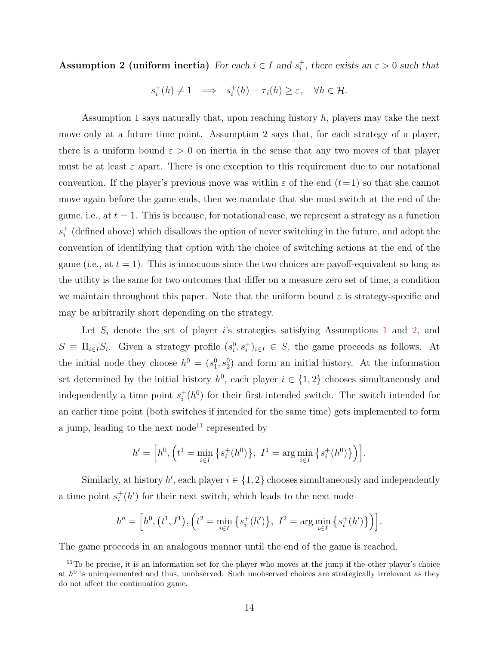Assumption 2 (uniform inertia) For each  $i \in I$  and  $s_i^+$ <sup>+</sup>, there exists an  $\varepsilon > 0$  such that

$$
s_i^+(h) \neq 1 \quad \Longrightarrow \quad s_i^+(h) - \tau_i(h) \geq \varepsilon, \quad \forall h \in \mathcal{H}.
$$

Assumption 1 says naturally that, upon reaching history  $h$ , players may take the next move only at a future time point. Assumption 2 says that, for each strategy of a player, there is a uniform bound  $\varepsilon > 0$  on inertia in the sense that any two moves of that player must be at least  $\varepsilon$  apart. There is one exception to this requirement due to our notational convention. If the player's previous move was within  $\varepsilon$  of the end  $(t=1)$  so that she cannot move again before the game ends, then we mandate that she must switch at the end of the game, i.e., at  $t = 1$ . This is because, for notational ease, we represent a strategy as a function  $s_i^+$  $i<sub>i</sub>$  (defined above) which disallows the option of never switching in the future, and adopt the convention of identifying that option with the choice of switching actions at the end of the game (i.e., at  $t = 1$ ). This is innocuous since the two choices are payoff-equivalent so long as the utility is the same for two outcomes that differ on a measure zero set of time, a condition we maintain throughout this paper. Note that the uniform bound  $\varepsilon$  is strategy-specific and may be arbitrarily short depending on the strategy.

Let  $S_i$  denote the set of player is strategies satisfying Assumptions [1](#page-12-0) and [2,](#page-12-1) and  $S \equiv \prod_{i \in I} S_i$ . Given a strategy profile  $(s_i^0, s_i^+)_{i \in I} \in S$ , the game proceeds as follows. At the initial node they choose  $h^0 = (s_1^0, s_2^0)$  and form an initial history. At the information set determined by the initial history  $h^0$ , each player  $i \in \{1,2\}$  chooses simultaneously and independently a time point  $s_i^+$  $i<sub>i</sub>$  (h<sup>0</sup>) for their first intended switch. The switch intended for an earlier time point (both switches if intended for the same time) gets implemented to form a jump, leading to the next node<sup>[11](#page-13-0)</sup> represented by

$$
h' = \left[ h^0, \left( t^1 = \min_{i \in I} \left\{ s_i^+(h^0) \right\}, \ I^1 = \arg \min_{i \in I} \left\{ s_i^+(h^0) \right\} \right) \right].
$$

Similarly, at history  $h'$ , each player  $i \in \{1, 2\}$  chooses simultaneously and independently a time point  $s_i^+$  $i<sub>i</sub>$  (h') for their next switch, which leads to the next node

$$
h'' = \left[ h^0, (t^1, I^1), (t^2 = \min_{i \in I} \{ s_i^+(h') \}, I^2 = \arg \min_{i \in I} \{ s_i^+(h') \} \right) \right].
$$

The game proceeds in an analogous manner until the end of the game is reached.

<span id="page-13-0"></span><sup>&</sup>lt;sup>11</sup>To be precise, it is an information set for the player who moves at the jump if the other player's choice at  $h^0$  is unimplemented and thus, unobserved. Such unobserved choices are strategically irrelevant as they do not affect the continuation game.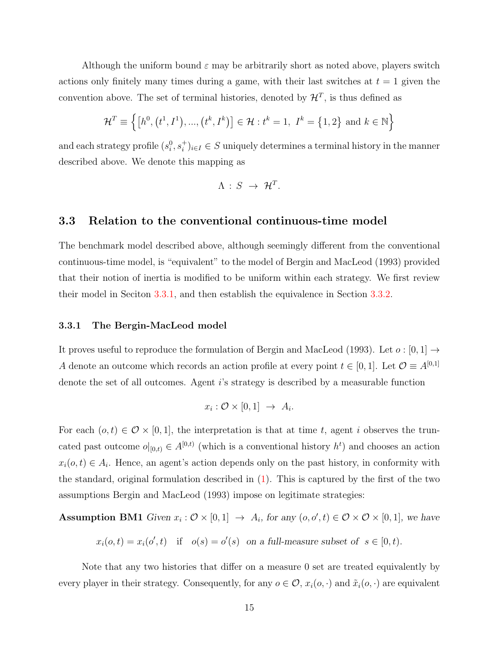Although the uniform bound  $\varepsilon$  may be arbitrarily short as noted above, players switch actions only finitely many times during a game, with their last switches at  $t = 1$  given the convention above. The set of terminal histories, denoted by  $\mathcal{H}^T$ , is thus defined as

$$
\mathcal{H}^T \equiv \left\{ \left[ h^0, \left( t^1, I^1 \right), \dots, \left( t^k, I^k \right) \right] \in \mathcal{H} : t^k = 1, \ I^k = \{1, 2\} \text{ and } k \in \mathbb{N} \right\}
$$

and each strategy profile  $(s_i^0, s_i^+)_{i \in I} \in S$  uniquely determines a terminal history in the manner described above. We denote this mapping as

$$
\Lambda\,:\,S\,\,\rightarrow\,\,\mathcal{H}^T.
$$

#### <span id="page-14-0"></span>3.3 Relation to the conventional continuous-time model

The benchmark model described above, although seemingly different from the conventional continuous-time model, is "equivalent" to the model of Bergin and MacLeod (1993) provided that their notion of inertia is modified to be uniform within each strategy. We first review their model in Seciton [3.3.1,](#page-14-1) and then establish the equivalence in Section [3.3.2.](#page-15-1)

#### <span id="page-14-1"></span>3.3.1 The Bergin-MacLeod model

It proves useful to reproduce the formulation of Bergin and MacLeod (1993). Let  $o: [0,1] \rightarrow$ A denote an outcome which records an action profile at every point  $t \in [0, 1]$ . Let  $\mathcal{O} \equiv A^{[0,1]}$ denote the set of all outcomes. Agent i's strategy is described by a measurable function

$$
x_i: \mathcal{O} \times [0,1] \rightarrow A_i.
$$

For each  $(o, t) \in \mathcal{O} \times [0, 1]$ , the interpretation is that at time t, agent i observes the truncated past outcome  $o|_{[0,t)} \in A^{[0,t)}$  (which is a conventional history  $h^t$ ) and chooses an action  $x_i(o, t) \in A_i$ . Hence, an agent's action depends only on the past history, in conformity with the standard, original formulation described in [\(1\)](#page-7-2). This is captured by the first of the two assumptions Bergin and MacLeod (1993) impose on legitimate strategies:

**Assumption BM1** Given  $x_i : \mathcal{O} \times [0,1] \rightarrow A_i$ , for any  $(o, o', t) \in \mathcal{O} \times \mathcal{O} \times [0,1]$ , we have

 $x_i(o,t) = x_i(o',t)$  if  $o(s) = o'(s)$  on a full-measure subset of  $s \in [0,t)$ .

Note that any two histories that differ on a measure 0 set are treated equivalently by every player in their strategy. Consequently, for any  $o \in \mathcal{O}$ ,  $x_i(o, \cdot)$  and  $\tilde{x}_i(o, \cdot)$  are equivalent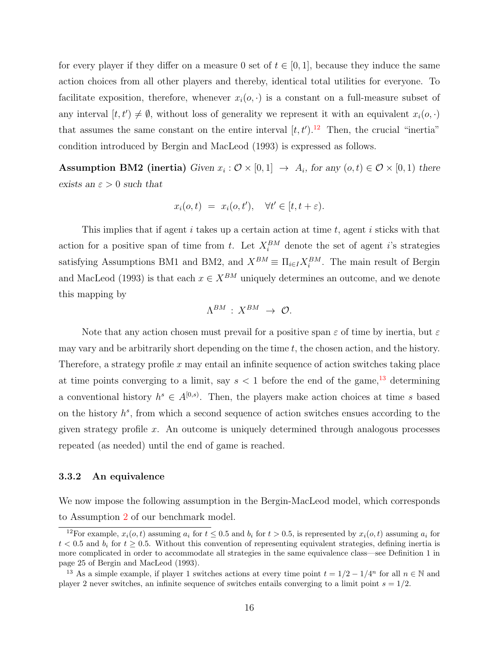for every player if they differ on a measure 0 set of  $t \in [0, 1]$ , because they induce the same action choices from all other players and thereby, identical total utilities for everyone. To facilitate exposition, therefore, whenever  $x_i(o, \cdot)$  is a constant on a full-measure subset of any interval  $[t, t') \neq \emptyset$ , without loss of generality we represent it with an equivalent  $x_i(o, \cdot)$ that assumes the same constant on the entire interval  $[t, t')$ .<sup>[12](#page-15-2)</sup> Then, the crucial "inertia" condition introduced by Bergin and MacLeod (1993) is expressed as follows.

**Assumption BM2 (inertia)** Given  $x_i : \mathcal{O} \times [0,1] \rightarrow A_i$ , for any  $(o,t) \in \mathcal{O} \times [0,1)$  there exists an  $\varepsilon > 0$  such that

$$
x_i(o, t) = x_i(o, t'), \quad \forall t' \in [t, t + \varepsilon).
$$

This implies that if agent i takes up a certain action at time  $t$ , agent i sticks with that action for a positive span of time from t. Let  $X_i^{BM}$  denote the set of agent i's strategies satisfying Assumptions BM1 and BM2, and  $X^{BM} \equiv \prod_{i \in I} X_i^{BM}$ . The main result of Bergin and MacLeod (1993) is that each  $x \in X^{BM}$  uniquely determines an outcome, and we denote this mapping by

$$
\Lambda^{BM} \,:\, X^{BM} \,\,\rightarrow\,\, \mathcal{O}.
$$

Note that any action chosen must prevail for a positive span  $\varepsilon$  of time by inertia, but  $\varepsilon$ may vary and be arbitrarily short depending on the time  $t$ , the chosen action, and the history. Therefore, a strategy profile  $x$  may entail an infinite sequence of action switches taking place at time points converging to a limit, say  $s < 1$  before the end of the game,<sup>[13](#page-15-0)</sup> determining a conventional history  $h^s \in A^{[0,s)}$ . Then, the players make action choices at time s based on the history  $h^s$ , from which a second sequence of action switches ensues according to the given strategy profile  $x$ . An outcome is uniquely determined through analogous processes repeated (as needed) until the end of game is reached.

#### <span id="page-15-1"></span>3.3.2 An equivalence

We now impose the following assumption in the Bergin-MacLeod model, which corresponds to Assumption [2](#page-12-1) of our benchmark model.

<span id="page-15-2"></span><sup>&</sup>lt;sup>12</sup>For example,  $x_i(o, t)$  assuming  $a_i$  for  $t \le 0.5$  and  $b_i$  for  $t > 0.5$ , is represented by  $x_i(o, t)$  assuming  $a_i$  for  $t < 0.5$  and  $b_i$  for  $t \ge 0.5$ . Without this convention of representing equivalent strategies, defining inertia is more complicated in order to accommodate all strategies in the same equivalence class—see Definition 1 in page 25 of Bergin and MacLeod (1993).

<span id="page-15-0"></span><sup>&</sup>lt;sup>13</sup> As a simple example, if player 1 switches actions at every time point  $t = 1/2 - 1/4^n$  for all  $n \in \mathbb{N}$  and player 2 never switches, an infinite sequence of switches entails converging to a limit point  $s = 1/2$ .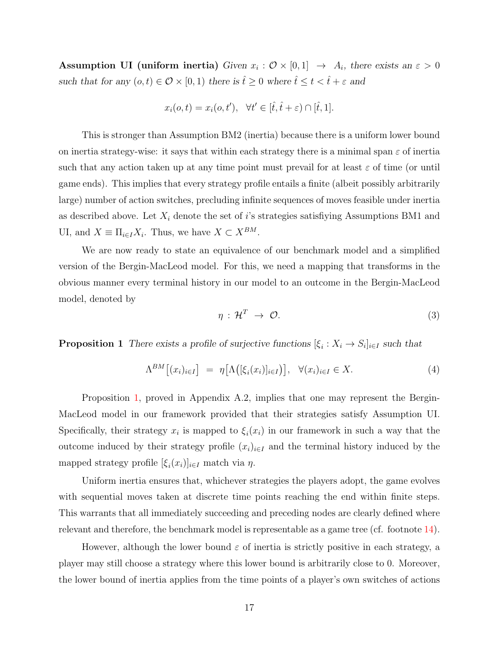Assumption UI (uniform inertia) Given  $x_i : \mathcal{O} \times [0,1] \rightarrow A_i$ , there exists an  $\varepsilon > 0$ such that for any  $(o,t)\in \mathcal{O}\times [0,1)$  there is  $\hat{t}\geq 0$  where  $\hat{t}\leq t<\hat{t}+\varepsilon$  and

$$
x_i(o, t) = x_i(o, t'), \quad \forall t' \in [\hat{t}, \hat{t} + \varepsilon) \cap [\hat{t}, 1].
$$

This is stronger than Assumption BM2 (inertia) because there is a uniform lower bound on inertia strategy-wise: it says that within each strategy there is a minimal span  $\varepsilon$  of inertia such that any action taken up at any time point must prevail for at least  $\varepsilon$  of time (or until game ends). This implies that every strategy profile entails a finite (albeit possibly arbitrarily large) number of action switches, precluding infinite sequences of moves feasible under inertia as described above. Let  $X_i$  denote the set of i's strategies satisfiying Assumptions BM1 and UI, and  $X \equiv \prod_{i \in I} X_i$ . Thus, we have  $X \subset X^{BM}$ .

We are now ready to state an equivalence of our benchmark model and a simplified version of the Bergin-MacLeod model. For this, we need a mapping that transforms in the obvious manner every terminal history in our model to an outcome in the Bergin-MacLeod model, denoted by

$$
\eta: \mathcal{H}^T \to \mathcal{O}.
$$
 (3)

<span id="page-16-0"></span>**Proposition 1** There exists a profile of surjective functions  $[\xi_i : X_i \to S_i]_{i \in I}$  such that

$$
\Lambda^{BM}[(x_i)_{i\in I}] = \eta \big[ \Lambda\big( [\xi_i(x_i)]_{i\in I} \big) \big], \quad \forall (x_i)_{i\in I} \in X. \tag{4}
$$

Proposition [1,](#page-16-0) proved in Appendix A.2, implies that one may represent the Bergin-MacLeod model in our framework provided that their strategies satisfy Assumption UI. Specifically, their strategy  $x_i$  is mapped to  $\xi_i(x_i)$  in our framework in such a way that the outcome induced by their strategy profile  $(x_i)_{i\in I}$  and the terminal history induced by the mapped strategy profile  $[\xi_i(x_i)]_{i \in I}$  match via  $\eta$ .

Uniform inertia ensures that, whichever strategies the players adopt, the game evolves with sequential moves taken at discrete time points reaching the end within finite steps. This warrants that all immediately succeeding and preceding nodes are clearly defined where relevant and therefore, the benchmark model is representable as a game tree (cf. footnote [14\)](#page-18-0).

However, although the lower bound  $\varepsilon$  of inertia is strictly positive in each strategy, a player may still choose a strategy where this lower bound is arbitrarily close to 0. Moreover, the lower bound of inertia applies from the time points of a player's own switches of actions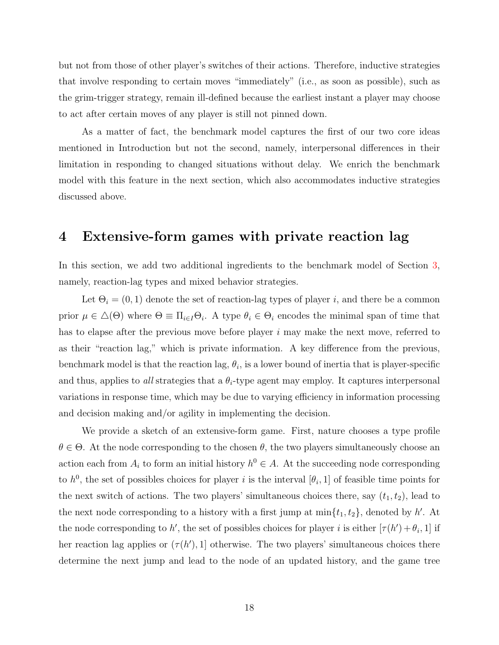but not from those of other player's switches of their actions. Therefore, inductive strategies that involve responding to certain moves "immediately" (i.e., as soon as possible), such as the grim-trigger strategy, remain ill-defined because the earliest instant a player may choose to act after certain moves of any player is still not pinned down.

As a matter of fact, the benchmark model captures the first of our two core ideas mentioned in Introduction but not the second, namely, interpersonal differences in their limitation in responding to changed situations without delay. We enrich the benchmark model with this feature in the next section, which also accommodates inductive strategies discussed above.

# 4 Extensive-form games with private reaction lag

In this section, we add two additional ingredients to the benchmark model of Section [3,](#page-10-0) namely, reaction-lag types and mixed behavior strategies.

Let  $\Theta_i = (0, 1)$  denote the set of reaction-lag types of player i, and there be a common prior  $\mu \in \Delta(\Theta)$  where  $\Theta \equiv \Pi_{i \in I} \Theta_i$ . A type  $\theta_i \in \Theta_i$  encodes the minimal span of time that has to elapse after the previous move before player i may make the next move, referred to as their "reaction lag," which is private information. A key difference from the previous, benchmark model is that the reaction lag,  $\theta_i$ , is a lower bound of inertia that is player-specific and thus, applies to all strategies that a  $\theta_i$ -type agent may employ. It captures interpersonal variations in response time, which may be due to varying efficiency in information processing and decision making and/or agility in implementing the decision.

We provide a sketch of an extensive-form game. First, nature chooses a type profile  $\theta \in \Theta$ . At the node corresponding to the chosen  $\theta$ , the two players simultaneously choose an action each from  $A_i$  to form an initial history  $h^0 \in A$ . At the succeeding node corresponding to  $h^0$ , the set of possibles choices for player i is the interval  $[\theta_i, 1]$  of feasible time points for the next switch of actions. The two players' simultaneous choices there, say  $(t_1, t_2)$ , lead to the next node corresponding to a history with a first jump at  $\min\{t_1, t_2\}$ , denoted by h'. At the node corresponding to h', the set of possibles choices for player i is either  $[\tau(h') + \theta_i, 1]$  if her reaction lag applies or  $(\tau(h'), 1]$  otherwise. The two players' simultaneous choices there determine the next jump and lead to the node of an updated history, and the game tree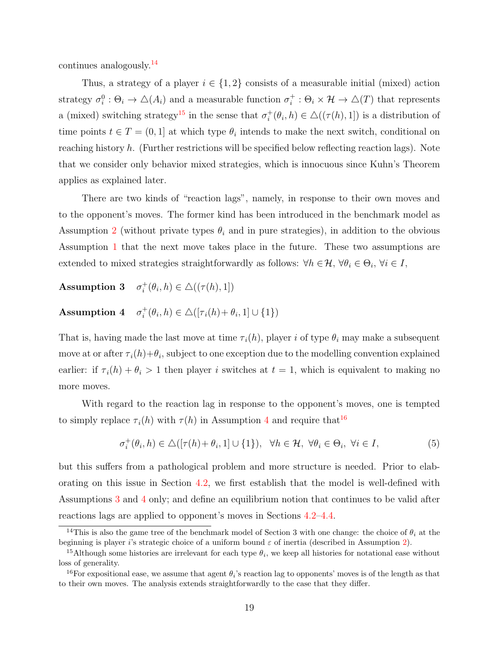continues analogously.[14](#page-18-0)

Thus, a strategy of a player  $i \in \{1,2\}$  consists of a measurable initial (mixed) action strategy  $\sigma_i^0 : \Theta_i \to \Delta(A_i)$  and a measurable function  $\sigma_i^+$  $i_i^+$ :  $\Theta_i \times \mathcal{H} \to \triangle(T)$  that represents a (mixed) switching strategy<sup>[15](#page-18-1)</sup> in the sense that  $\sigma_i^+$  $i^+_{i}(\theta_i, h) \in \Delta((\tau(h), 1])$  is a distribution of time points  $t \in T = (0, 1]$  at which type  $\theta_i$  intends to make the next switch, conditional on reaching history  $h$ . (Further restrictions will be specified below reflecting reaction lags). Note that we consider only behavior mixed strategies, which is innocuous since Kuhn's Theorem applies as explained later.

There are two kinds of "reaction lags", namely, in response to their own moves and to the opponent's moves. The former kind has been introduced in the benchmark model as Assumption [2](#page-12-1) (without private types  $\theta_i$  and in pure strategies), in addition to the obvious Assumption [1](#page-12-0) that the next move takes place in the future. These two assumptions are extended to mixed strategies straightforwardly as follows:  $\forall h \in \mathcal{H}, \forall \theta_i \in \Theta_i, \forall i \in I$ ,

Assumption 3  $\sigma_i^+$  $i^+_{i}(\theta_i, h) \in \Delta((\tau(h), 1])$ 

<span id="page-18-2"></span>Assumption 4  $\sigma_i^+$  $i^+_{i}(\theta_i, h) \in \triangle([\tau_i(h) + \theta_i, 1] \cup \{1\})$ 

That is, having made the last move at time  $\tau_i(h)$ , player i of type  $\theta_i$  may make a subsequent move at or after  $\tau_i(h)+\theta_i$ , subject to one exception due to the modelling convention explained earlier: if  $\tau_i(h) + \theta_i > 1$  then player i switches at  $t = 1$ , which is equivalent to making no more moves.

With regard to the reaction lag in response to the opponent's moves, one is tempted to simply replace  $\tau_i(h)$  with  $\tau(h)$  in Assumption [4](#page-18-2) and require that<sup>[16](#page-18-3)</sup>

<span id="page-18-5"></span><span id="page-18-4"></span>
$$
\sigma_i^+(\theta_i, h) \in \triangle([\tau(h) + \theta_i, 1] \cup \{1\}), \ \ \forall h \in \mathcal{H}, \ \forall \theta_i \in \Theta_i, \ \forall i \in I,
$$
\n
$$
(5)
$$

but this suffers from a pathological problem and more structure is needed. Prior to elaborating on this issue in Section [4.2,](#page-20-0) we first establish that the model is well-defined with Assumptions [3](#page-18-4) and [4](#page-18-2) only; and define an equilibrium notion that continues to be valid after reactions lags are applied to opponent's moves in Sections [4.2–](#page-20-0)[4.4.](#page-23-0)

<span id="page-18-0"></span><sup>&</sup>lt;sup>14</sup>This is also the game tree of the benchmark model of Section 3 with one change: the choice of  $\theta_i$  at the beginning is player i's strategic choice of a uniform bound  $\varepsilon$  of inertia (described in Assumption [2\)](#page-12-1).

<span id="page-18-1"></span><sup>&</sup>lt;sup>15</sup>Although some histories are irrelevant for each type  $\theta_i$ , we keep all histories for notational ease without loss of generality.

<span id="page-18-3"></span><sup>&</sup>lt;sup>16</sup>For expositional ease, we assume that agent  $\theta_i$ 's reaction lag to opponents' moves is of the length as that to their own moves. The analysis extends straightforwardly to the case that they differ.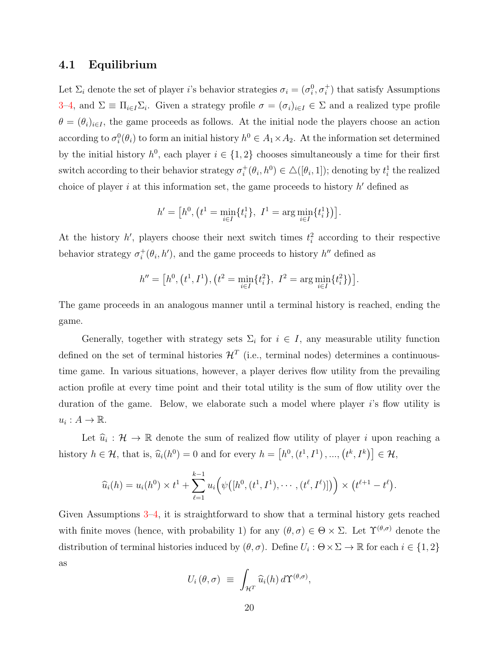#### <span id="page-19-0"></span>4.1 Equilibrium

Let  $\Sigma_i$  denote the set of player *i*'s behavior strategies  $\sigma_i = (\sigma_i^0, \sigma_i^+)$  that satisfy Assumptions [3–](#page-18-4)[4,](#page-18-2) and  $\Sigma \equiv \Pi_{i \in I} \Sigma_i$ . Given a strategy profile  $\sigma = (\sigma_i)_{i \in I} \in \Sigma$  and a realized type profile  $\theta = (\theta_i)_{i \in I}$ , the game proceeds as follows. At the initial node the players choose an action according to  $\sigma_i^0(\theta_i)$  to form an initial history  $h^0 \in A_1 \times A_2$ . At the information set determined by the initial history  $h^0$ , each player  $i \in \{1,2\}$  chooses simultaneously a time for their first switch according to their behavior strategy  $\sigma_i^+$  $i_t^+(\theta_i, h^0) \in \triangle([\theta_i, 1])$ ; denoting by  $t_i^1$  the realized choice of player  $i$  at this information set, the game proceeds to history  $h'$  defined as

$$
h' = [h^0, (t^1 = \min_{i \in I} \{t_i^1\}, I^1 = \arg\min_{i \in I} \{t_i^1\})].
$$

At the history  $h'$ , players choose their next switch times  $t_i^2$  according to their respective behavior strategy  $\sigma_i^+$  $i^+(\theta_i, h')$ , and the game proceeds to history  $h''$  defined as

$$
h'' = [h^0, (t^1, I^1), (t^2 = \min_{i \in I} \{t_i^2\}, I^2 = \arg\min_{i \in I} \{t_i^2\})].
$$

The game proceeds in an analogous manner until a terminal history is reached, ending the game.

Generally, together with strategy sets  $\Sigma_i$  for  $i \in I$ , any measurable utility function defined on the set of terminal histories  $\mathcal{H}^T$  (i.e., terminal nodes) determines a continuoustime game. In various situations, however, a player derives flow utility from the prevailing action profile at every time point and their total utility is the sum of flow utility over the duration of the game. Below, we elaborate such a model where player  $i$ 's flow utility is  $u_i: A \to \mathbb{R}$ .

Let  $\hat{u}_i : \mathcal{H} \to \mathbb{R}$  denote the sum of realized flow utility of player i upon reaching a history  $h \in \mathcal{H}$ , that is,  $\widehat{u}_i(h^0) = 0$  and for every  $h = [h^0, (t^1, I^1), ..., (t^k, I^k)] \in \mathcal{H}$ ,

$$
\widehat{u}_i(h) = u_i(h^0) \times t^1 + \sum_{\ell=1}^{k-1} u_i\Big(\psi([h^0, (t^1, I^1), \cdots, (t^{\ell}, I^{\ell})])\Big) \times (t^{\ell+1} - t^{\ell}).
$$

Given Assumptions [3](#page-18-4)[–4,](#page-18-2) it is straightforward to show that a terminal history gets reached with finite moves (hence, with probability 1) for any  $(\theta, \sigma) \in \Theta \times \Sigma$ . Let  $\Upsilon^{(\theta, \sigma)}$  denote the distribution of terminal histories induced by  $(\theta, \sigma)$ . Define  $U_i : \Theta \times \Sigma \to \mathbb{R}$  for each  $i \in \{1, 2\}$ as

$$
U_i(\theta,\sigma) \equiv \int_{\mathcal{H}^T} \widehat{u}_i(h) d\Upsilon^{(\theta,\sigma)},
$$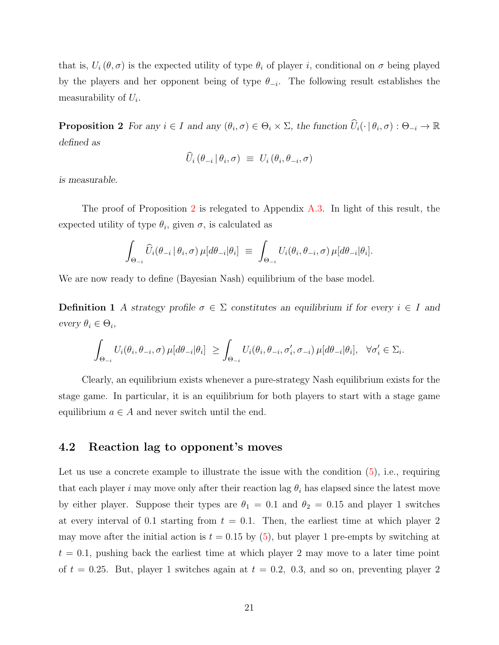that is,  $U_i(\theta, \sigma)$  is the expected utility of type  $\theta_i$  of player i, conditional on  $\sigma$  being played by the players and her opponent being of type  $\theta_{-i}$ . The following result establishes the measurability of  $U_i$ .

<span id="page-20-1"></span>**Proposition 2** For any  $i \in I$  and any  $(\theta_i, \sigma) \in \Theta_i \times \Sigma$ , the function  $\widehat{U}_i(\cdot | \theta_i, \sigma) : \Theta_{-i} \to \mathbb{R}$ defined as

$$
U_i (\theta_{-i} | \theta_i, \sigma) \equiv U_i (\theta_i, \theta_{-i}, \sigma)
$$

is measurable.

The proof of Proposition [2](#page-20-1) is relegated to Appendix [A.3.](#page-34-0) In light of this result, the expected utility of type  $\theta_i$ , given  $\sigma$ , is calculated as

$$
\int_{\Theta_{-i}} \widehat{U}_i(\theta_{-i} | \theta_i, \sigma) \,\mu[d\theta_{-i} | \theta_i] \equiv \int_{\Theta_{-i}} U_i(\theta_i, \theta_{-i}, \sigma) \,\mu[d\theta_{-i} | \theta_i].
$$

We are now ready to define (Bayesian Nash) equilibrium of the base model.

Definition 1 A strategy profile  $\sigma \in \Sigma$  constitutes an equilibrium if for every  $i \in I$  and every  $\theta_i \in \Theta_i$ ,

$$
\int_{\Theta_{-i}} U_i(\theta_i, \theta_{-i}, \sigma) \,\mu[d\theta_{-i}|\theta_i] \ \geq \int_{\Theta_{-i}} U_i(\theta_i, \theta_{-i}, \sigma'_i, \sigma_{-i}) \,\mu[d\theta_{-i}|\theta_i], \ \ \forall \sigma'_i \in \Sigma_i.
$$

Clearly, an equilibrium exists whenever a pure-strategy Nash equilibrium exists for the stage game. In particular, it is an equilibrium for both players to start with a stage game equilibrium  $a \in A$  and never switch until the end.

#### <span id="page-20-0"></span>4.2 Reaction lag to opponent's moves

Let us use a concrete example to illustrate the issue with the condition  $(5)$ , i.e., requiring that each player i may move only after their reaction lag  $\theta_i$  has elapsed since the latest move by either player. Suppose their types are  $\theta_1 = 0.1$  and  $\theta_2 = 0.15$  and player 1 switches at every interval of 0.1 starting from  $t = 0.1$ . Then, the earliest time at which player 2 may move after the initial action is  $t = 0.15$  by [\(5\)](#page-18-5), but player 1 pre-empts by switching at  $t = 0.1$ , pushing back the earliest time at which player 2 may move to a later time point of  $t = 0.25$ . But, player 1 switches again at  $t = 0.2$ , 0.3, and so on, preventing player 2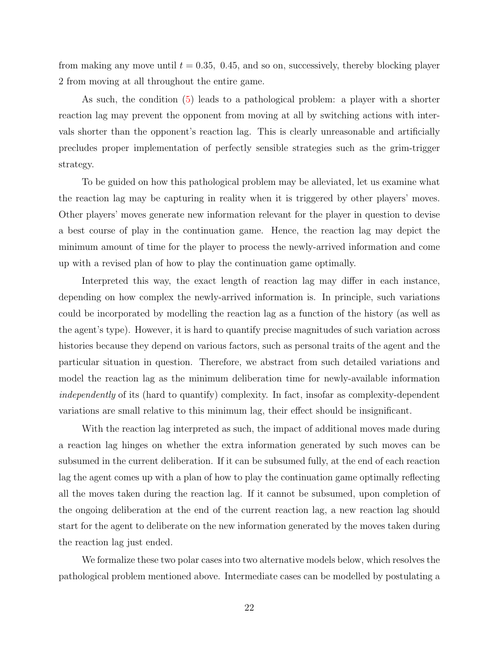from making any move until  $t = 0.35, 0.45,$  and so on, successively, thereby blocking player 2 from moving at all throughout the entire game.

As such, the condition [\(5\)](#page-18-5) leads to a pathological problem: a player with a shorter reaction lag may prevent the opponent from moving at all by switching actions with intervals shorter than the opponent's reaction lag. This is clearly unreasonable and artificially precludes proper implementation of perfectly sensible strategies such as the grim-trigger strategy.

To be guided on how this pathological problem may be alleviated, let us examine what the reaction lag may be capturing in reality when it is triggered by other players' moves. Other players' moves generate new information relevant for the player in question to devise a best course of play in the continuation game. Hence, the reaction lag may depict the minimum amount of time for the player to process the newly-arrived information and come up with a revised plan of how to play the continuation game optimally.

Interpreted this way, the exact length of reaction lag may differ in each instance, depending on how complex the newly-arrived information is. In principle, such variations could be incorporated by modelling the reaction lag as a function of the history (as well as the agent's type). However, it is hard to quantify precise magnitudes of such variation across histories because they depend on various factors, such as personal traits of the agent and the particular situation in question. Therefore, we abstract from such detailed variations and model the reaction lag as the minimum deliberation time for newly-available information independently of its (hard to quantify) complexity. In fact, insofar as complexity-dependent variations are small relative to this minimum lag, their effect should be insignificant.

With the reaction lag interpreted as such, the impact of additional moves made during a reaction lag hinges on whether the extra information generated by such moves can be subsumed in the current deliberation. If it can be subsumed fully, at the end of each reaction lag the agent comes up with a plan of how to play the continuation game optimally reflecting all the moves taken during the reaction lag. If it cannot be subsumed, upon completion of the ongoing deliberation at the end of the current reaction lag, a new reaction lag should start for the agent to deliberate on the new information generated by the moves taken during the reaction lag just ended.

We formalize these two polar cases into two alternative models below, which resolves the pathological problem mentioned above. Intermediate cases can be modelled by postulating a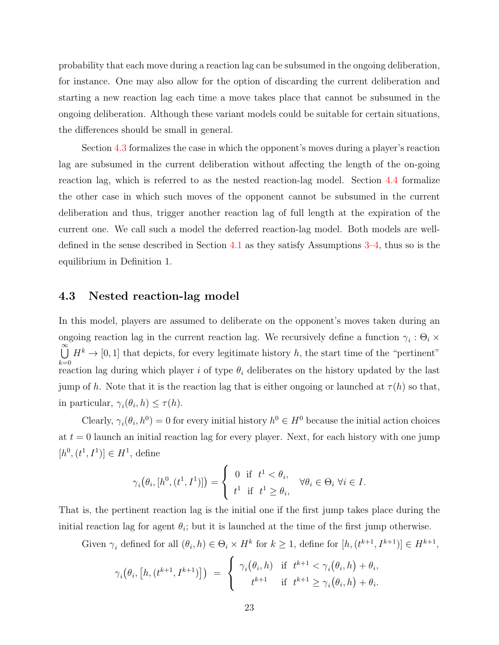probability that each move during a reaction lag can be subsumed in the ongoing deliberation, for instance. One may also allow for the option of discarding the current deliberation and starting a new reaction lag each time a move takes place that cannot be subsumed in the ongoing deliberation. Although these variant models could be suitable for certain situations, the differences should be small in general.

Section [4.3](#page-22-0) formalizes the case in which the opponent's moves during a player's reaction lag are subsumed in the current deliberation without affecting the length of the on-going reaction lag, which is referred to as the nested reaction-lag model. Section [4.4](#page-23-0) formalize the other case in which such moves of the opponent cannot be subsumed in the current deliberation and thus, trigger another reaction lag of full length at the expiration of the current one. We call such a model the deferred reaction-lag model. Both models are welldefined in the sense described in Section [4.1](#page-19-0) as they satisfy Assumptions [3–](#page-18-4)[4,](#page-18-2) thus so is the equilibrium in Definition 1.

#### <span id="page-22-0"></span>4.3 Nested reaction-lag model

In this model, players are assumed to deliberate on the opponent's moves taken during an ongoing reaction lag in the current reaction lag. We recursively define a function  $\gamma_i : \Theta_i \times$  $\overset{\infty}{\cup}$  $_{k=0}$  $H^k \to [0, 1]$  that depicts, for every legitimate history h, the start time of the "pertinent" reaction lag during which player i of type  $\theta_i$  deliberates on the history updated by the last jump of h. Note that it is the reaction lag that is either ongoing or launched at  $\tau(h)$  so that, in particular,  $\gamma_i(\theta_i, h) \leq \tau(h)$ .

Clearly,  $\gamma_i(\theta_i, h^0) = 0$  for every initial history  $h^0 \in H^0$  because the initial action choices at  $t = 0$  launch an initial reaction lag for every player. Next, for each history with one jump  $[h^0, (t^1, I^1)] \in H^1$ , define

$$
\gamma_i(\theta_i, [h^0, (t^1, I^1)]) = \begin{cases} 0 & \text{if } t^1 < \theta_i, \\ t^1 & \text{if } t^1 \ge \theta_i, \end{cases} \forall \theta_i \in \Theta_i \ \forall i \in I.
$$

That is, the pertinent reaction lag is the initial one if the first jump takes place during the initial reaction lag for agent  $\theta_i$ ; but it is launched at the time of the first jump otherwise.

Given  $\gamma_i$  defined for all  $(\theta_i, h) \in \Theta_i \times H^k$  for  $k \geq 1$ , define for  $[h, (t^{k+1}, I^{k+1})] \in H^{k+1}$ ,

$$
\gamma_i(\theta_i, [h, (t^{k+1}, I^{k+1})]) = \begin{cases} \gamma_i(\theta_i, h) & \text{if } t^{k+1} < \gamma_i(\theta_i, h) + \theta_i, \\ t^{k+1} & \text{if } t^{k+1} \ge \gamma_i(\theta_i, h) + \theta_i. \end{cases}
$$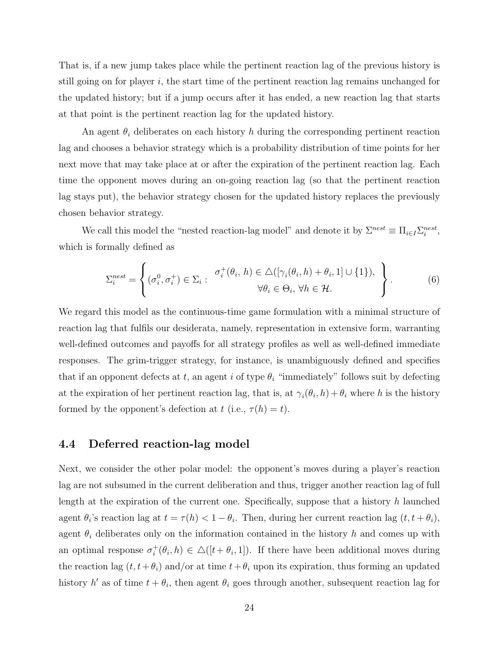That is, if a new jump takes place while the pertinent reaction lag of the previous history is still going on for player  $i$ , the start time of the pertinent reaction lag remains unchanged for the updated history; but if a jump occurs after it has ended, a new reaction lag that starts at that point is the pertinent reaction lag for the updated history.

An agent  $\theta_i$  deliberates on each history h during the corresponding pertinent reaction lag and chooses a behavior strategy which is a probability distribution of time points for her next move that may take place at or after the expiration of the pertinent reaction lag. Each time the opponent moves during an on-going reaction lag (so that the pertinent reaction lag stays put), the behavior strategy chosen for the updated history replaces the previously chosen behavior strategy.

We call this model the "nested reaction-lag model" and denote it by  $\Sigma^{nest} \equiv \prod_{i \in I} \sum_{i=1}^{nest}$ , which is formally defined as

<span id="page-23-1"></span>
$$
\Sigma_i^{nest} = \left\{ (\sigma_i^0, \sigma_i^+) \in \Sigma_i : \begin{array}{c} \sigma_i^+(\theta_i, h) \in \triangle([\gamma_i(\theta_i, h) + \theta_i, 1] \cup \{1\}), \\ \forall \theta_i \in \Theta_i, \forall h \in \mathcal{H}. \end{array} \right\}.
$$
 (6)

We regard this model as the continuous-time game formulation with a minimal structure of reaction lag that fulfils our desiderata, namely, representation in extensive form, warranting well-defined outcomes and payoffs for all strategy profiles as well as well-defined immediate responses. The grim-trigger strategy, for instance, is unambiguously defined and specifies that if an opponent defects at t, an agent i of type  $\theta_i$  "immediately" follows suit by defecting at the expiration of her pertinent reaction lag, that is, at  $\gamma_i(\theta_i, h) + \theta_i$  where h is the history formed by the opponent's defection at t (i.e.,  $\tau(h) = t$ ).

#### <span id="page-23-0"></span>4.4 Deferred reaction-lag model

Next, we consider the other polar model: the opponent's moves during a player's reaction lag are not subsumed in the current deliberation and thus, trigger another reaction lag of full length at the expiration of the current one. Specifically, suppose that a history h launched agent  $\theta_i$ 's reaction lag at  $t = \tau(h) < 1 - \theta_i$ . Then, during her current reaction lag  $(t, t + \theta_i)$ , agent  $\theta_i$  deliberates only on the information contained in the history h and comes up with an optimal response  $\sigma_i^+$  $i_t^+(\theta_i, h) \in \Delta([t+\theta_i, 1])$ . If there have been additional moves during the reaction lag  $(t, t+\theta_i)$  and/or at time  $t+\theta_i$  upon its expiration, thus forming an updated history h' as of time  $t + \theta_i$ , then agent  $\theta_i$  goes through another, subsequent reaction lag for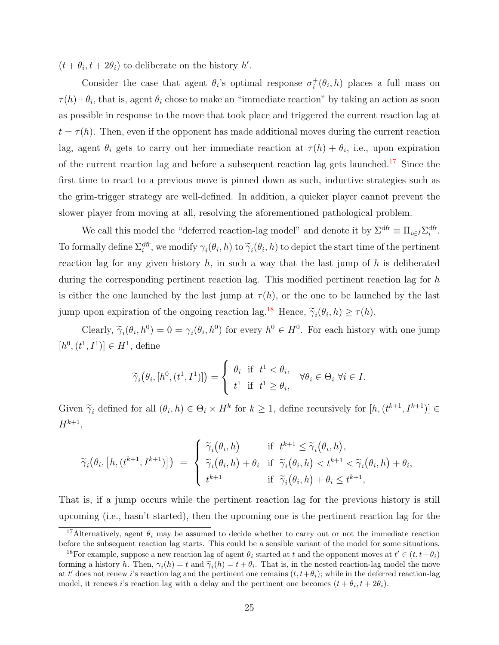$(t + \theta_i, t + 2\theta_i)$  to deliberate on the history h'.

Consider the case that agent  $\theta_i$ 's optimal response  $\sigma_i^+$  $i^+(\theta_i, h)$  places a full mass on  $\tau(h)+\theta_i$ , that is, agent  $\theta_i$  chose to make an "immediate reaction" by taking an action as soon as possible in response to the move that took place and triggered the current reaction lag at  $t = \tau(h)$ . Then, even if the opponent has made additional moves during the current reaction lag, agent  $\theta_i$  gets to carry out her immediate reaction at  $\tau(h) + \theta_i$ , i.e., upon expiration of the current reaction lag and before a subsequent reaction lag gets launched.[17](#page-24-0) Since the first time to react to a previous move is pinned down as such, inductive strategies such as the grim-trigger strategy are well-defined. In addition, a quicker player cannot prevent the slower player from moving at all, resolving the aforementioned pathological problem.

We call this model the "deferred reaction-lag model" and denote it by  $\Sigma^{df} \equiv \prod_{i \in I} \Sigma_i^{df}$ . To formally define  $\Sigma_i^{df}$ , we modify  $\gamma_i(\theta_i, h)$  to  $\widetilde{\gamma}_i(\theta_i, h)$  to depict the start time of the pertinent reaction lag for any given history  $h$ , in such a way that the last jump of  $h$  is deliberated during the corresponding pertinent reaction lag. This modified pertinent reaction lag for h is either the one launched by the last jump at  $\tau(h)$ , or the one to be launched by the last jump upon expiration of the ongoing reaction lag.<sup>[18](#page-24-1)</sup> Hence,  $\tilde{\gamma}_i(\theta_i, h) \ge \tau(h)$ .

Clearly,  $\widetilde{\gamma}_i(\theta_i, h^0) = 0 = \gamma_i(\theta_i, h^0)$  for every  $h^0 \in H^0$ . For each history with one jump  $[h^0, (t^1, I^1)] \in H^1$ , define

$$
\widetilde{\gamma}_i(\theta_i, [h^0, (t^1, I^1)]) = \begin{cases} \theta_i & \text{if } t^1 < \theta_i, \\ t^1 & \text{if } t^1 \ge \theta_i, \end{cases} \forall \theta_i \in \Theta_i \ \forall i \in I.
$$

Given  $\widetilde{\gamma}_i$  defined for all  $(\theta_i, h) \in \Theta_i \times H^k$  for  $k \ge 1$ , define recursively for  $[h, (t^{k+1}, I^{k+1})] \in$  $H^{k+1}$ ,

$$
\widetilde{\gamma}_i(\theta_i, [h, (t^{k+1}, I^{k+1})]) = \begin{cases}\n\widetilde{\gamma}_i(\theta_i, h) & \text{if } t^{k+1} \leq \widetilde{\gamma}_i(\theta_i, h), \\
\widetilde{\gamma}_i(\theta_i, h) + \theta_i & \text{if } \widetilde{\gamma}_i(\theta_i, h) < t^{k+1} < \widetilde{\gamma}_i(\theta_i, h) + \theta_i, \\
t^{k+1} & \text{if } \widetilde{\gamma}_i(\theta_i, h) + \theta_i \leq t^{k+1},\n\end{cases}
$$

That is, if a jump occurs while the pertinent reaction lag for the previous history is still upcoming (i.e., hasn't started), then the upcoming one is the pertinent reaction lag for the

<span id="page-24-0"></span><sup>&</sup>lt;sup>17</sup>Alternatively, agent  $\theta_i$  may be assumed to decide whether to carry out or not the immediate reaction before the subsequent reaction lag starts. This could be a sensible variant of the model for some situations.

<span id="page-24-1"></span><sup>&</sup>lt;sup>18</sup>For example, suppose a new reaction lag of agent  $\theta_i$  started at t and the opponent moves at  $t' \in (t, t + \theta_i)$ forming a history h. Then,  $\gamma_i(h) = t$  and  $\tilde{\gamma}_i(h) = t + \theta_i$ . That is, in the nested reaction-lag model the move<br>at t' does not report is reaction lag and the portinent one remains  $(t + A)$ , while in the deferred reaction lag at t' does not renew i's reaction lag and the pertinent one remains  $(t, t+\theta_i)$ ; while in the deferred reaction-lag model, it renews *i*'s reaction lag with a delay and the pertinent one becomes  $(t + \theta_i, t + 2\theta_i)$ .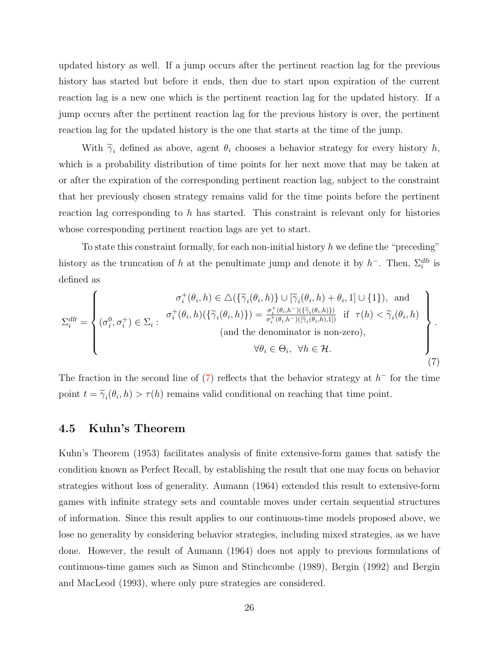updated history as well. If a jump occurs after the pertinent reaction lag for the previous history has started but before it ends, then due to start upon expiration of the current reaction lag is a new one which is the pertinent reaction lag for the updated history. If a jump occurs after the pertinent reaction lag for the previous history is over, the pertinent reaction lag for the updated history is the one that starts at the time of the jump.

With  $\tilde{\gamma}_i$  defined as above, agent  $\theta_i$  chooses a behavior strategy for every history h, which is a probability distribution of time points for her next move that may be taken at or after the expiration of the corresponding pertinent reaction lag, subject to the constraint that her previously chosen strategy remains valid for the time points before the pertinent reaction lag corresponding to h has started. This constraint is relevant only for histories whose corresponding pertinent reaction lags are yet to start.

To state this constraint formally, for each non-initial history  $h$  we define the "preceding" history as the truncation of h at the penultimate jump and denote it by  $h^-$ . Then,  $\Sigma_i^{df}$  is defined as

<span id="page-25-0"></span>
$$
\Sigma_{i}^{\text{dfr}} = \begin{cases}\n\sigma_{i}^{+}(\theta_{i}, h) \in \Delta(\{\widetilde{\gamma}_{i}(\theta_{i}, h)\} \cup [\widetilde{\gamma}_{i}(\theta_{i}, h) + \theta_{i}, 1] \cup \{1\}), \text{ and} \\
(\sigma_{i}^{0}, \sigma_{i}^{+}) \in \Sigma_{i}: \n\sigma_{i}^{+}(\theta_{i}, h)(\{\widetilde{\gamma}_{i}(\theta_{i}, h)\}) = \frac{\sigma_{i}^{+}(\theta_{i}, h^{-})(\{\widetilde{\gamma}_{i}(\theta_{i}, h)\})}{\sigma_{i}^{+}(\theta_{i}, h^{-})(\{\widetilde{\gamma}_{i}(\theta_{i}, h), 1\})} \text{ if } \tau(h) < \widetilde{\gamma}_{i}(\theta_{i}, h) \\
(\text{and the denominator is non-zero}), \\
\forall \theta_{i} \in \Theta_{i}, \forall h \in \mathcal{H}.\n\end{cases}
$$
\n(7)

The fraction in the second line of  $(7)$  reflects that the behavior strategy at  $h^-$  for the time point  $t = \tilde{\gamma}_i(\theta_i, h) > \tau(h)$  remains valid conditional on reaching that time point.

#### 4.5 Kuhn's Theorem

Kuhn's Theorem (1953) facilitates analysis of finite extensive-form games that satisfy the condition known as Perfect Recall, by establishing the result that one may focus on behavior strategies without loss of generality. Aumann (1964) extended this result to extensive-form games with infinite strategy sets and countable moves under certain sequential structures of information. Since this result applies to our continuous-time models proposed above, we lose no generality by considering behavior strategies, including mixed strategies, as we have done. However, the result of Aumann (1964) does not apply to previous formulations of continuous-time games such as Simon and Stinchcombe (1989), Bergin (1992) and Bergin and MacLeod (1993), where only pure strategies are considered.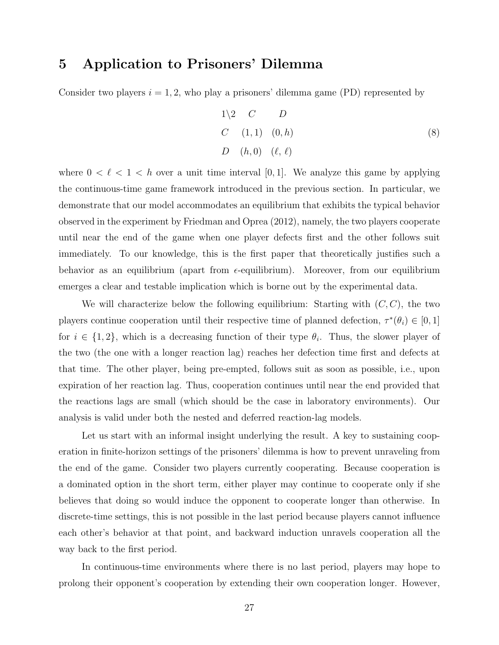### 5 Application to Prisoners' Dilemma

Consider two players  $i = 1, 2$ , who play a prisoners' dilemma game (PD) represented by

<span id="page-26-0"></span>
$$
1\langle 2 \quad C \quad D
$$
  
\n
$$
C \quad (1,1) \quad (0,h)
$$
  
\n
$$
D \quad (h,0) \quad (\ell,\ell)
$$
  
\n(8)

where  $0 < \ell < 1 < h$  over a unit time interval [0, 1]. We analyze this game by applying the continuous-time game framework introduced in the previous section. In particular, we demonstrate that our model accommodates an equilibrium that exhibits the typical behavior observed in the experiment by Friedman and Oprea (2012), namely, the two players cooperate until near the end of the game when one player defects first and the other follows suit immediately. To our knowledge, this is the first paper that theoretically justifies such a behavior as an equilibrium (apart from  $\epsilon$ -equilibrium). Moreover, from our equilibrium emerges a clear and testable implication which is borne out by the experimental data.

We will characterize below the following equilibrium: Starting with  $(C, C)$ , the two players continue cooperation until their respective time of planned defection,  $\tau^*(\theta_i) \in [0,1]$ for  $i \in \{1,2\}$ , which is a decreasing function of their type  $\theta_i$ . Thus, the slower player of the two (the one with a longer reaction lag) reaches her defection time first and defects at that time. The other player, being pre-empted, follows suit as soon as possible, i.e., upon expiration of her reaction lag. Thus, cooperation continues until near the end provided that the reactions lags are small (which should be the case in laboratory environments). Our analysis is valid under both the nested and deferred reaction-lag models.

Let us start with an informal insight underlying the result. A key to sustaining cooperation in finite-horizon settings of the prisoners' dilemma is how to prevent unraveling from the end of the game. Consider two players currently cooperating. Because cooperation is a dominated option in the short term, either player may continue to cooperate only if she believes that doing so would induce the opponent to cooperate longer than otherwise. In discrete-time settings, this is not possible in the last period because players cannot influence each other's behavior at that point, and backward induction unravels cooperation all the way back to the first period.

In continuous-time environments where there is no last period, players may hope to prolong their opponent's cooperation by extending their own cooperation longer. However,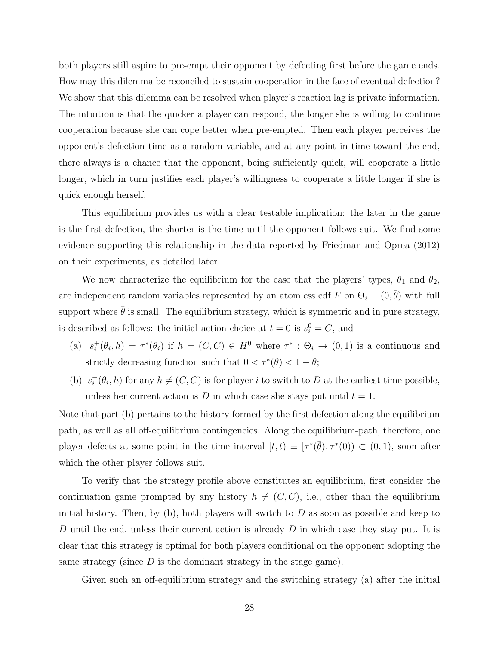both players still aspire to pre-empt their opponent by defecting first before the game ends. How may this dilemma be reconciled to sustain cooperation in the face of eventual defection? We show that this dilemma can be resolved when player's reaction lag is private information. The intuition is that the quicker a player can respond, the longer she is willing to continue cooperation because she can cope better when pre-empted. Then each player perceives the opponent's defection time as a random variable, and at any point in time toward the end, there always is a chance that the opponent, being sufficiently quick, will cooperate a little longer, which in turn justifies each player's willingness to cooperate a little longer if she is quick enough herself.

This equilibrium provides us with a clear testable implication: the later in the game is the first defection, the shorter is the time until the opponent follows suit. We find some evidence supporting this relationship in the data reported by Friedman and Oprea (2012) on their experiments, as detailed later.

We now characterize the equilibrium for the case that the players' types,  $\theta_1$  and  $\theta_2$ , are independent random variables represented by an atomless cdf F on  $\Theta_i = (0, \bar{\theta})$  with full support where  $\bar{\theta}$  is small. The equilibrium strategy, which is symmetric and in pure strategy, is described as follows: the initial action choice at  $t = 0$  is  $s_i^0 = C$ , and

- $(a) s_i^+$  $\tau_i^+(\theta_i, h) = \tau^*(\theta_i)$  if  $h = (C, C) \in H^0$  where  $\tau^* : \Theta_i \to (0, 1)$  is a continuous and strictly decreasing function such that  $0 < \tau^*(\theta) < 1 - \theta$ ;
- (b)  $s_i^+$  $i^+(\theta_i, h)$  for any  $h \neq (C, C)$  is for player i to switch to D at the earliest time possible, unless her current action is D in which case she stays put until  $t = 1$ .

Note that part (b) pertains to the history formed by the first defection along the equilibrium path, as well as all off-equilibrium contingencies. Along the equilibrium-path, therefore, one player defects at some point in the time interval  $[\underline{t}, \overline{t}] \equiv [\tau^*(\overline{\theta}), \tau^*(0)] \subset (0, 1)$ , soon after which the other player follows suit.

To verify that the strategy profile above constitutes an equilibrium, first consider the continuation game prompted by any history  $h \neq (C, C)$ , i.e., other than the equilibrium initial history. Then, by (b), both players will switch to  $D$  as soon as possible and keep to D until the end, unless their current action is already  $D$  in which case they stay put. It is clear that this strategy is optimal for both players conditional on the opponent adopting the same strategy (since  $D$  is the dominant strategy in the stage game).

Given such an off-equilibrium strategy and the switching strategy (a) after the initial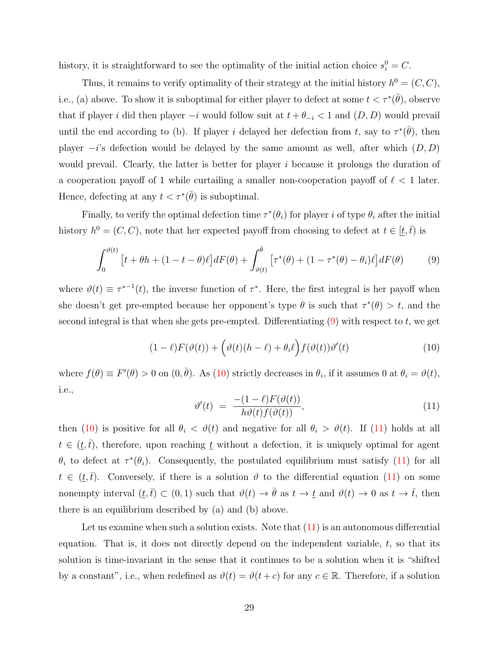history, it is straightforward to see the optimality of the initial action choice  $s_i^0 = C$ .

Thus, it remains to verify optimality of their strategy at the initial history  $h^0 = (C, C)$ , i.e., (a) above. To show it is suboptimal for either player to defect at some  $t < \tau^*(\bar{\theta})$ , observe that if player i did then player  $-i$  would follow suit at  $t + \theta_{-i} < 1$  and  $(D, D)$  would prevail until the end according to (b). If player i delayed her defection from t, say to  $\tau^*(\bar{\theta})$ , then player  $-i$ 's defection would be delayed by the same amount as well, after which  $(D, D)$ would prevail. Clearly, the latter is better for player i because it prolongs the duration of a cooperation payoff of 1 while curtailing a smaller non-cooperation payoff of  $\ell < 1$  later. Hence, defecting at any  $t < \tau^*(\bar{\theta})$  is suboptimal.

Finally, to verify the optimal defection time  $\tau^*(\theta_i)$  for player i of type  $\theta_i$  after the initial history  $h^0 = (C, C)$ , note that her expected payoff from choosing to defect at  $t \in [\underline{t}, \overline{t})$  is

<span id="page-28-0"></span>
$$
\int_0^{\vartheta(t)} \left[ t + \theta h + (1 - t - \theta) \ell \right] dF(\theta) + \int_{\vartheta(t)}^{\bar{\theta}} \left[ \tau^*(\theta) + (1 - \tau^*(\theta) - \theta_i) \ell \right] dF(\theta) \tag{9}
$$

where  $\vartheta(t) \equiv \tau^{*-1}(t)$ , the inverse function of  $\tau^*$ . Here, the first integral is her payoff when she doesn't get pre-empted because her opponent's type  $\theta$  is such that  $\tau^*(\theta) > t$ , and the second integral is that when she gets pre-empted. Differentiating  $(9)$  with respect to t, we get

<span id="page-28-1"></span>
$$
(1 - \ell)F(\vartheta(t)) + \left(\vartheta(t)(h - \ell) + \theta_i\ell\right)f(\vartheta(t))\vartheta'(t) \tag{10}
$$

where  $f(\theta) \equiv F'(\theta) > 0$  on  $(0, \bar{\theta})$ . As  $(10)$  strictly decreases in  $\theta_i$ , if it assumes 0 at  $\theta_i = \vartheta(t)$ , i.e.,

<span id="page-28-2"></span>
$$
\vartheta'(t) = \frac{-(1-\ell)F(\vartheta(t))}{h\vartheta(t)f(\vartheta(t))},\tag{11}
$$

then [\(10\)](#page-28-1) is positive for all  $\theta_i < \vartheta(t)$  and negative for all  $\theta_i > \vartheta(t)$ . If [\(11\)](#page-28-2) holds at all  $t \in (\underline{t},\overline{t})$ , therefore, upon reaching  $\underline{t}$  without a defection, it is uniquely optimal for agent  $\theta_i$  to defect at  $\tau^*(\theta_i)$ . Consequently, the postulated equilibrium must satisfy [\(11\)](#page-28-2) for all  $t \in (\underline{t},\overline{t})$ . Conversely, if there is a solution  $\vartheta$  to the differential equation [\(11\)](#page-28-2) on some nonempty interval  $(\underline{t},\overline{t}) \subset (0,1)$  such that  $\vartheta(t) \to \overline{\theta}$  as  $t \to \underline{t}$  and  $\vartheta(t) \to 0$  as  $t \to \overline{t}$ , then there is an equilibrium described by (a) and (b) above.

Let us examine when such a solution exists. Note that  $(11)$  is an autonomous differential equation. That is, it does not directly depend on the independent variable,  $t$ , so that its solution is time-invariant in the sense that it continues to be a solution when it is "shifted by a constant", i.e., when redefined as  $\vartheta(t) = \vartheta(t+c)$  for any  $c \in \mathbb{R}$ . Therefore, if a solution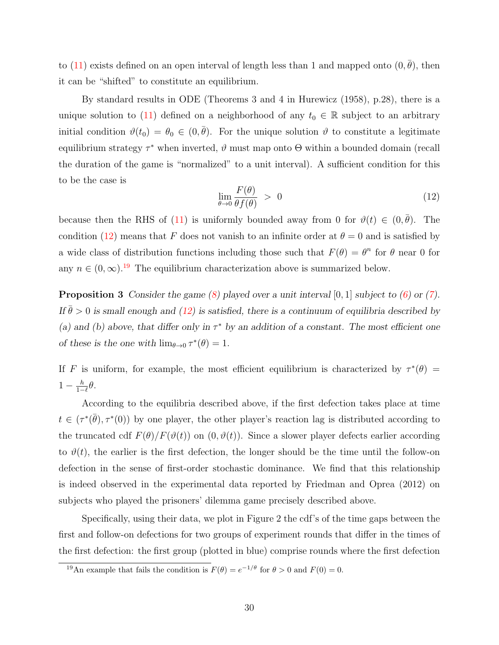to [\(11\)](#page-28-2) exists defined on an open interval of length less than 1 and mapped onto  $(0, \bar{\theta})$ , then it can be "shifted" to constitute an equilibrium.

By standard results in ODE (Theorems 3 and 4 in Hurewicz (1958), p.28), there is a unique solution to [\(11\)](#page-28-2) defined on a neighborhood of any  $t_0 \in \mathbb{R}$  subject to an arbitrary initial condition  $\vartheta(t_0) = \theta_0 \in (0, \bar{\theta})$ . For the unique solution  $\vartheta$  to constitute a legitimate equilibrium strategy  $\tau^*$  when inverted,  $\vartheta$  must map onto  $\Theta$  within a bounded domain (recall the duration of the game is "normalized" to a unit interval). A sufficient condition for this to be the case is

<span id="page-29-0"></span>
$$
\lim_{\theta \to 0} \frac{F(\theta)}{\theta f(\theta)} > 0 \tag{12}
$$

because then the RHS of [\(11\)](#page-28-2) is uniformly bounded away from 0 for  $\vartheta(t) \in (0, \bar{\theta})$ . The condition [\(12\)](#page-29-0) means that F does not vanish to an infinite order at  $\theta = 0$  and is satisfied by a wide class of distribution functions including those such that  $F(\theta) = \theta^n$  for  $\theta$  near 0 for any  $n \in (0,\infty)$ .<sup>[19](#page-29-1)</sup> The equilibrium characterization above is summarized below.

**Proposition 3** Consider the game  $(8)$  played over a unit interval  $[0, 1]$  subject to  $(6)$  or  $(7)$ . If  $\bar{\theta} > 0$  is small enough and [\(12\)](#page-29-0) is satisfied, there is a continuum of equilibria described by (a) and (b) above, that differ only in  $\tau^*$  by an addition of a constant. The most efficient one of these is the one with  $\lim_{\theta \to 0} \tau^*(\theta) = 1$ .

If F is uniform, for example, the most efficient equilibrium is characterized by  $\tau^*(\theta)$  =  $1 - \frac{h}{1 - h}$  $rac{h}{1-\ell}\theta.$ 

According to the equilibria described above, if the first defection takes place at time  $t \in (\tau^*(\bar{\theta}), \tau^*(0))$  by one player, the other player's reaction lag is distributed according to the truncated cdf  $F(\theta)/F(\vartheta(t))$  on  $(0, \vartheta(t))$ . Since a slower player defects earlier according to  $\vartheta(t)$ , the earlier is the first defection, the longer should be the time until the follow-on defection in the sense of first-order stochastic dominance. We find that this relationship is indeed observed in the experimental data reported by Friedman and Oprea (2012) on subjects who played the prisoners' dilemma game precisely described above.

Specifically, using their data, we plot in Figure 2 the cdf's of the time gaps between the first and follow-on defections for two groups of experiment rounds that differ in the times of the first defection: the first group (plotted in blue) comprise rounds where the first defection

<span id="page-29-1"></span><sup>&</sup>lt;sup>19</sup>An example that fails the condition is  $F(\theta) = e^{-1/\theta}$  for  $\theta > 0$  and  $F(0) = 0$ .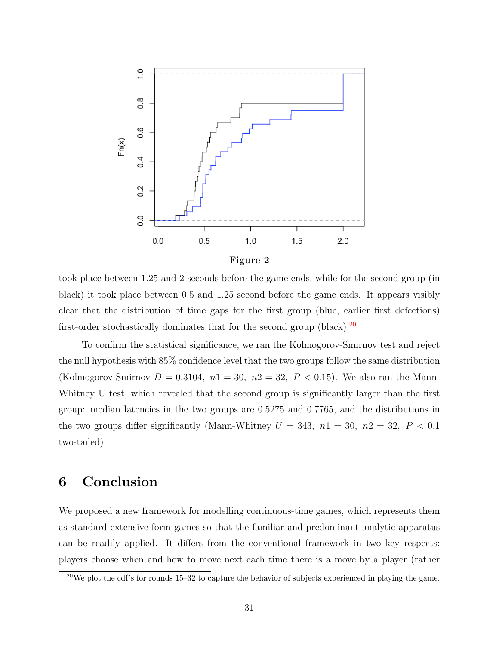

took place between 1.25 and 2 seconds before the game ends, while for the second group (in black) it took place between 0.5 and 1.25 second before the game ends. It appears visibly clear that the distribution of time gaps for the first group (blue, earlier first defections) first-order stochastically dominates that for the second group (black).<sup>[20](#page-30-0)</sup>

To confirm the statistical significance, we ran the Kolmogorov-Smirnov test and reject the null hypothesis with 85% confidence level that the two groups follow the same distribution (Kolmogorov-Smirnov  $D = 0.3104$ ,  $n1 = 30$ ,  $n2 = 32$ ,  $P < 0.15$ ). We also ran the Mann-Whitney U test, which revealed that the second group is significantly larger than the first group: median latencies in the two groups are 0.5275 and 0.7765, and the distributions in the two groups differ significantly (Mann-Whitney  $U = 343$ ,  $n1 = 30$ ,  $n2 = 32$ ,  $P < 0.1$ two-tailed).

### 6 Conclusion

We proposed a new framework for modelling continuous-time games, which represents them as standard extensive-form games so that the familiar and predominant analytic apparatus can be readily applied. It differs from the conventional framework in two key respects: players choose when and how to move next each time there is a move by a player (rather

<span id="page-30-0"></span> $20$ We plot the cdf's for rounds 15–32 to capture the behavior of subjects experienced in playing the game.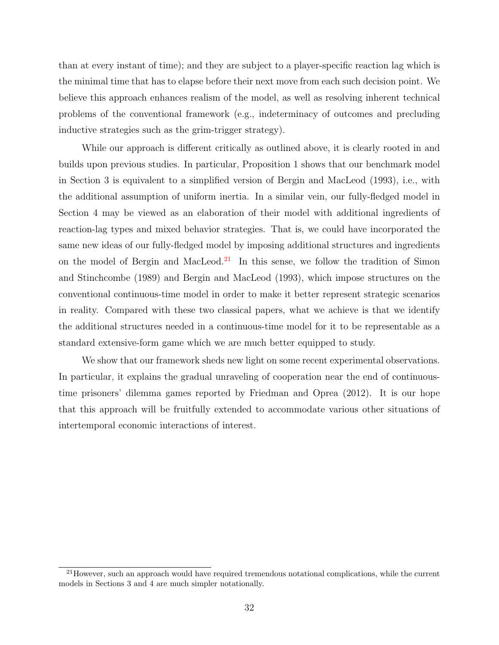than at every instant of time); and they are subject to a player-specific reaction lag which is the minimal time that has to elapse before their next move from each such decision point. We believe this approach enhances realism of the model, as well as resolving inherent technical problems of the conventional framework (e.g., indeterminacy of outcomes and precluding inductive strategies such as the grim-trigger strategy).

While our approach is different critically as outlined above, it is clearly rooted in and builds upon previous studies. In particular, Proposition 1 shows that our benchmark model in Section 3 is equivalent to a simplified version of Bergin and MacLeod (1993), i.e., with the additional assumption of uniform inertia. In a similar vein, our fully-fledged model in Section 4 may be viewed as an elaboration of their model with additional ingredients of reaction-lag types and mixed behavior strategies. That is, we could have incorporated the same new ideas of our fully-fledged model by imposing additional structures and ingredients on the model of Bergin and MacLeod.<sup>[21](#page-31-0)</sup> In this sense, we follow the tradition of Simon and Stinchcombe (1989) and Bergin and MacLeod (1993), which impose structures on the conventional continuous-time model in order to make it better represent strategic scenarios in reality. Compared with these two classical papers, what we achieve is that we identify the additional structures needed in a continuous-time model for it to be representable as a standard extensive-form game which we are much better equipped to study.

We show that our framework sheds new light on some recent experimental observations. In particular, it explains the gradual unraveling of cooperation near the end of continuoustime prisoners' dilemma games reported by Friedman and Oprea (2012). It is our hope that this approach will be fruitfully extended to accommodate various other situations of intertemporal economic interactions of interest.

<span id="page-31-0"></span> $^{21}$ However, such an approach would have required tremendous notational complications, while the current models in Sections 3 and 4 are much simpler notationally.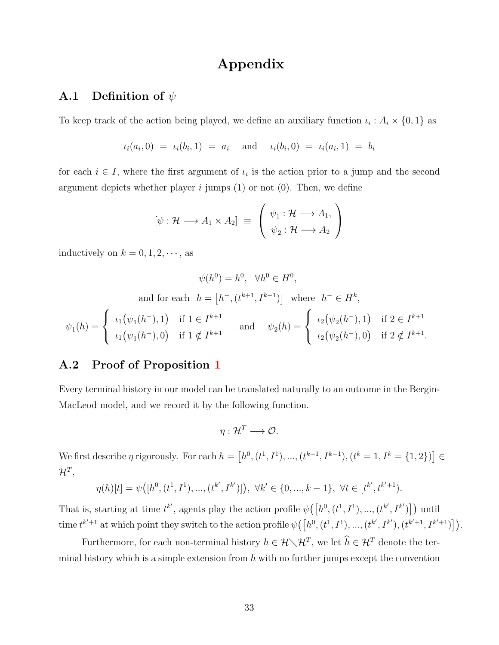### Appendix

#### <span id="page-32-0"></span>**A.1** Definition of  $\psi$

To keep track of the action being played, we define an auxiliary function  $\iota_i : A_i \times \{0,1\}$  as

 $\iota_i(a_i,0) = \iota_i(b_i,1) = a_i \text{ and } \iota_i(b_i,0) = \iota_i(a_i,1) = b_i$ 

for each  $i \in I$ , where the first argument of  $\iota_i$  is the action prior to a jump and the second argument depicts whether player i jumps  $(1)$  or not  $(0)$ . Then, we define

$$
[\psi : \mathcal{H} \longrightarrow A_1 \times A_2] \equiv \begin{pmatrix} \psi_1 : \mathcal{H} \longrightarrow A_1, \\ \psi_2 : \mathcal{H} \longrightarrow A_2 \end{pmatrix}
$$

inductively on  $k = 0, 1, 2, \dots$ , as

$$
\psi(h^0) = h^0, \quad \forall h^0 \in H^0,
$$
  
and for each  $h = [h^-, (t^{k+1}, I^{k+1})]$  where  $h^- \in H^k$ ,  

$$
\psi_1(h) = \begin{cases} \iota_1(\psi_1(h^-), 1) & \text{if } 1 \in I^{k+1} \\ \iota_1(\psi_1(h^-), 0) & \text{if } 1 \notin I^{k+1} \end{cases} \quad \text{and} \quad \psi_2(h) = \begin{cases} \iota_2(\psi_2(h^-), 1) & \text{if } 2 \in I^{k+1} \\ \iota_2(\psi_2(h^-), 0) & \text{if } 2 \notin I^{k+1} \end{cases}
$$

.

#### A.2 Proof of Proposition [1](#page-16-0)

Every terminal history in our model can be translated naturally to an outcome in the Bergin-MacLeod model, and we record it by the following function.

$$
\eta: \mathcal{H}^T \longrightarrow \mathcal{O}.
$$

We first describe  $\eta$  rigorously. For each  $h = [h^0, (t^1, I^1), ..., (t^{k-1}, I^{k-1}), (t^k = 1, I^k = \{1, 2\})] \in$  $\mathcal{H}^T,$ 

$$
\eta(h)[t] = \psi([h^0, (t^1, I^1), ..., (t^{k'}, I^{k'})]), \ \forall k' \in \{0, ..., k-1\}, \ \forall t \in [t^{k'}, t^{k'+1}).
$$

That is, starting at time  $t^{k'}$ , agents play the action profile  $\psi([h^0, (t^1, I^1), ..., (t^{k'}, I^{k'})])$  until time  $t^{k'+1}$  at which point they switch to the action profile  $\psi([h^0, (t^1, I^1), ..., (t^{k'}, I^{k'}), (t^{k'+1}, I^{k'+1})])$ .

Furthermore, for each non-terminal history  $h \in \mathcal{H} \setminus \mathcal{H}^T$ , we let  $\hat{h} \in \mathcal{H}^T$  denote the terminal history which is a simple extension from  $h$  with no further jumps except the convention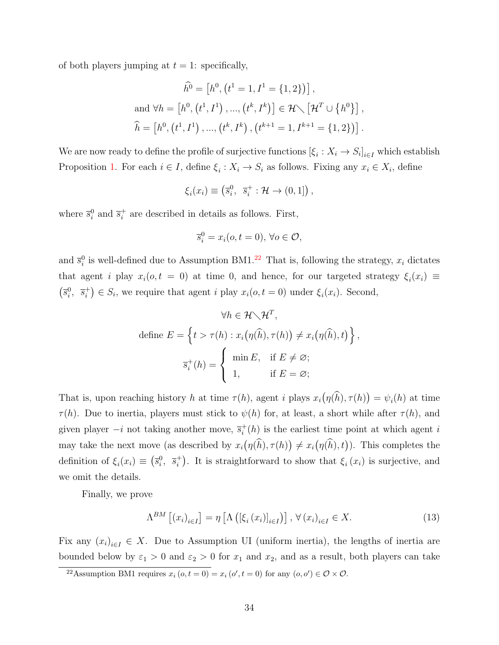of both players jumping at  $t = 1$ : specifically,

$$
\hat{h}^0 = [h^0, (t^1 = 1, I^1 = \{1, 2\})],
$$
  
and  $\forall h = [h^0, (t^1, I^1), ..., (t^k, I^k)] \in \mathcal{H} \setminus [\mathcal{H}^T \cup \{h^0\}],$   

$$
\hat{h} = [h^0, (t^1, I^1), ..., (t^k, I^k), (t^{k+1} = 1, I^{k+1} = \{1, 2\})].
$$

We are now ready to define the profile of surjective functions  $[\xi_i : X_i \to S_i]_{i \in I}$  which establish Proposition [1.](#page-16-0) For each  $i \in I$ , define  $\xi_i : X_i \to S_i$  as follows. Fixing any  $x_i \in X_i$ , define

$$
\xi_i(x_i) \equiv \left(\overline{s}_i^0, \ \overline{s}_i^+ : \mathcal{H} \to (0,1]\right),
$$

where  $\overline{s}_{i}^{0}$  and  $\overline{s}_{i}^{+}$  $i<sub>i</sub>$  are described in details as follows. First,

$$
\overline{s}_i^0 = x_i(o, t = 0), \,\forall o \in \mathcal{O},
$$

and  $\bar{s}_i^0$  is well-defined due to Assumption BM1.<sup>[22](#page-33-0)</sup> That is, following the strategy,  $x_i$  dictates that agent i play  $x_i(o, t = 0)$  at time 0, and hence, for our targeted strategy  $\xi_i(x_i) \equiv$  $\left(\overline{s}_i^0, \ \overline{s}_i^+\right.$  $i<sup>+</sup>$   $\in$   $S<sub>i</sub>$ , we require that agent *i* play  $x<sub>i</sub>(o, t = 0)$  under  $\xi<sub>i</sub>(x<sub>i</sub>)$ . Second,

$$
\forall h \in \mathcal{H} \setminus \mathcal{H}^T,
$$
  
define  $E = \left\{ t > \tau(h) : x_i(\eta(\widehat{h}), \tau(h)) \neq x_i(\eta(\widehat{h}), t) \right\},$   

$$
\overline{s}_i^+(h) = \begin{cases} \min E, & \text{if } E \neq \emptyset; \\ 1, & \text{if } E = \emptyset; \end{cases}
$$

That is, upon reaching history h at time  $\tau(h)$ , agent i plays  $x_i(\eta(h), \tau(h)) = \psi_i(h)$  at time  $\tau(h)$ . Due to inertia, players must stick to  $\psi(h)$  for, at least, a short while after  $\tau(h)$ , and given player  $-i$  not taking another move,  $\overline{s}_i^+$  $i<sub>i</sub>(h)$  is the earliest time point at which agent i may take the next move (as described by  $x_i(\eta(h), \tau(h)) \neq x_i(\eta(h), t)$ ). This completes the definition of  $\xi_i(x_i) \equiv (\overline{s}_i^0, \overline{s}_i^+)$ <sup>+</sup>). It is straightforward to show that  $\xi_i(x_i)$  is surjective, and we omit the details.

Finally, we prove

<span id="page-33-1"></span>
$$
\Lambda^{BM} \left[ \left( x_i \right)_{i \in I} \right] = \eta \left[ \Lambda \left( \left[ \xi_i \left( x_i \right) \right]_{i \in I} \right) \right], \forall \left( x_i \right)_{i \in I} \in X. \tag{13}
$$

Fix any  $(x_i)_{i \in I} \in X$ . Due to Assumption UI (uniform inertia), the lengths of inertia are bounded below by  $\varepsilon_1 > 0$  and  $\varepsilon_2 > 0$  for  $x_1$  and  $x_2$ , and as a result, both players can take

<span id="page-33-0"></span><sup>&</sup>lt;sup>22</sup>Assumption BM1 requires  $x_i(o, t = 0) = x_i(o', t = 0)$  for any  $(o, o') \in \mathcal{O} \times \mathcal{O}$ .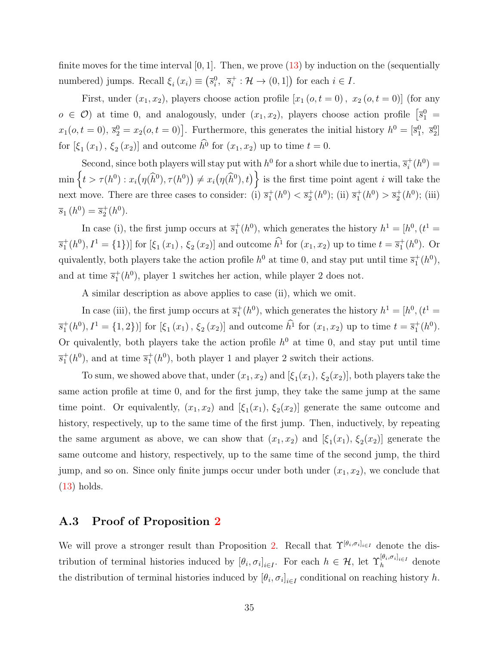finite moves for the time interval  $[0, 1]$ . Then, we prove  $(13)$  by induction on the (sequentially numbered) jumps. Recall  $\xi_i(x_i) \equiv (\overline{s}_i^0, \overline{s}_i^+)$  $i_i^+$ :  $\mathcal{H} \to (0,1]$  for each  $i \in I$ .

First, under  $(x_1, x_2)$ , players choose action profile  $[x_1 (o, t = 0), x_2 (o, t = 0)]$  (for any  $o \in \mathcal{O}$  at time 0, and analogously, under  $(x_1, x_2)$ , players choose action profile  $\left[\overline{s}_1^0\right]$  $x_1(o, t = 0), \, \overline{s}_2^0 = x_2(o, t = 0)$ . Furthermore, this generates the initial history  $h^0 = [\overline{s}_1^0, \, \overline{s}_2^0]$ for  $[\xi_1(x_1), \xi_2(x_2)]$  and outcome  $h^0$  for  $(x_1, x_2)$  up to time  $t = 0$ .

Second, since both players will stay put with  $h^0$  for a short while due to inertia,  $\overline{s}_i^+$  $i^+(h^0) =$  $\min\left\{t > \tau(h^0): x_i(\eta(\widehat{h}^0), \tau(h^0)) \neq x_i(\eta(\widehat{h}^0), t)\right\}$  is the first time point agent i will take the next move. There are three cases to consider: (i)  $\overline{s}_1^+(h^0) < \overline{s}_2^+(h^0)$ ; (ii)  $\overline{s}_1^+(h^0) > \overline{s}_2^+(h^0)$ ; (iii)  $\overline{s}_1(h^0) = \overline{s}_2^+(h^0).$ 

In case (i), the first jump occurs at  $\overline{s}_1^+(h^0)$ , which generates the history  $h^1 = [h^0, (t^1 =$  $\overline{s}_1^+(h^0), I^1 = \{1\})$  for  $[\xi_1(x_1), \xi_2(x_2)]$  and outcome  $\hat{h}^1$  for  $(x_1, x_2)$  up to time  $t = \overline{s}_1^+(h^0)$ . Or quivalently, both players take the action profile  $h^0$  at time 0, and stay put until time  $\overline{s}_1^+(h^0)$ , and at time  $\overline{s}_1^+(h^0)$ , player 1 switches her action, while player 2 does not.

A similar description as above applies to case (ii), which we omit.

In case (iii), the first jump occurs at  $\overline{s}_1^+(h^0)$ , which generates the history  $h^1 = [h^0, (t^1 =$  $\overline{s}_1^+(h^0), I^1 = \{1,2\}$ ) for  $[\xi_1(x_1), \xi_2(x_2)]$  and outcome  $\hat{h}^1$  for  $(x_1, x_2)$  up to time  $t = \overline{s}_1^+(h^0)$ . Or quivalently, both players take the action profile  $h^0$  at time 0, and stay put until time  $\overline{s}_1^+(h^0)$ , and at time  $\overline{s}_1^+(h^0)$ , both player 1 and player 2 switch their actions.

To sum, we showed above that, under  $(x_1, x_2)$  and  $[\xi_1(x_1), \xi_2(x_2)]$ , both players take the same action profile at time 0, and for the first jump, they take the same jump at the same time point. Or equivalently,  $(x_1, x_2)$  and  $[\xi_1(x_1), \xi_2(x_2)]$  generate the same outcome and history, respectively, up to the same time of the first jump. Then, inductively, by repeating the same argument as above, we can show that  $(x_1, x_2)$  and  $[\xi_1(x_1), \xi_2(x_2)]$  generate the same outcome and history, respectively, up to the same time of the second jump, the third jump, and so on. Since only finite jumps occur under both under  $(x_1, x_2)$ , we conclude that [\(13\)](#page-33-1) holds.

#### <span id="page-34-0"></span>A.3 Proof of Proposition [2](#page-20-1)

We will prove a stronger result than Proposition [2.](#page-20-1) Recall that  $\Upsilon^{[\theta_i,\sigma_i]_{i\in I}}$  denote the distribution of terminal histories induced by  $[\theta_i, \sigma_i]_{i \in I}$ . For each  $h \in \mathcal{H}$ , let  $\Upsilon_h^{[\theta_i, \sigma_i]_{i \in I}}$  denote the distribution of terminal histories induced by  $[\theta_i, \sigma_i]_{i \in I}$  conditional on reaching history h.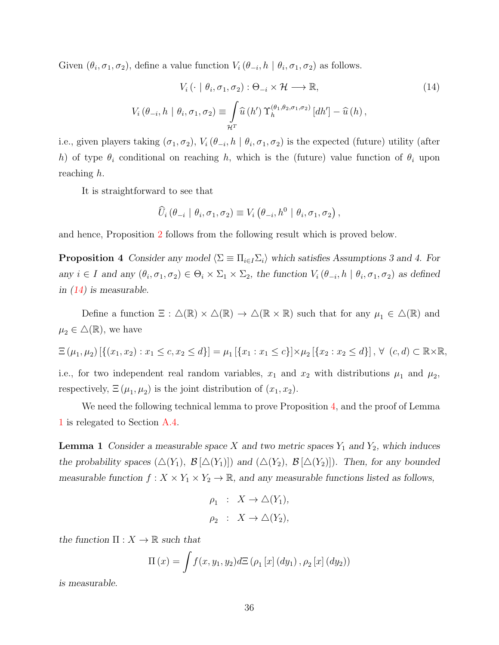Given  $(\theta_i, \sigma_1, \sigma_2)$ , define a value function  $V_i(\theta_{-i}, h \mid \theta_i, \sigma_1, \sigma_2)$  as follows.

<span id="page-35-0"></span>
$$
V_i \left( \cdot \mid \theta_i, \sigma_1, \sigma_2 \right) : \Theta_{-i} \times \mathcal{H} \longrightarrow \mathbb{R},
$$
  
\n
$$
V_i \left( \theta_{-i}, h \mid \theta_i, \sigma_1, \sigma_2 \right) \equiv \int_{\mathcal{H}^T} \widehat{u} \left( h' \right) \Upsilon_h^{(\theta_1, \theta_2, \sigma_1, \sigma_2)} \left[ dh' \right] - \widehat{u} \left( h \right),
$$
\n(14)

i.e., given players taking  $(\sigma_1, \sigma_2)$ ,  $V_i(\theta_{-i}, h \mid \theta_i, \sigma_1, \sigma_2)$  is the expected (future) utility (after h) of type  $\theta_i$  conditional on reaching h, which is the (future) value function of  $\theta_i$  upon reaching h.

It is straightforward to see that

$$
\widehat{U}_i \left( \theta_{-i} \mid \theta_i, \sigma_1, \sigma_2 \right) \equiv V_i \left( \theta_{-i}, h^0 \mid \theta_i, \sigma_1, \sigma_2 \right),
$$

<span id="page-35-1"></span>and hence, Proposition [2](#page-20-1) follows from the following result which is proved below.

**Proposition 4** Consider any model  $\langle \Sigma \equiv \Pi_{i \in I} \Sigma_i \rangle$  which satisfies Assumptions 3 and 4. For any  $i \in I$  and any  $(\theta_i, \sigma_1, \sigma_2) \in \Theta_i \times \Sigma_1 \times \Sigma_2$ , the function  $V_i(\theta_{-i}, h \mid \theta_i, \sigma_1, \sigma_2)$  as defined in  $(14)$  is measurable.

Define a function  $\Xi : \Delta(\mathbb{R}) \times \Delta(\mathbb{R}) \to \Delta(\mathbb{R} \times \mathbb{R})$  such that for any  $\mu_1 \in \Delta(\mathbb{R})$  and  $\mu_2 \in \Delta(\mathbb{R})$ , we have

$$
\Xi(\mu_1, \mu_2) [\{(x_1, x_2) : x_1 \le c, x_2 \le d\}] = \mu_1 [\{x_1 : x_1 \le c\}] \times \mu_2 [\{x_2 : x_2 \le d\}], \forall (c, d) \subset \mathbb{R} \times \mathbb{R},
$$

i.e., for two independent real random variables,  $x_1$  and  $x_2$  with distributions  $\mu_1$  and  $\mu_2$ , respectively,  $\Xi(\mu_1, \mu_2)$  is the joint distribution of  $(x_1, x_2)$ .

We need the following technical lemma to prove Proposition [4,](#page-35-1) and the proof of Lemma [1](#page-35-2) is relegated to Section [A.4.](#page-39-0)

<span id="page-35-2"></span>**Lemma 1** Consider a measurable space X and two metric spaces  $Y_1$  and  $Y_2$ , which induces the probability spaces  $(\Delta(Y_1), \mathcal{B}[\Delta(Y_1)])$  and  $(\Delta(Y_2), \mathcal{B}[\Delta(Y_2)])$ . Then, for any bounded measurable function  $f: X \times Y_1 \times Y_2 \to \mathbb{R}$ , and any measurable functions listed as follows,

$$
\rho_1 : X \to \triangle(Y_1),
$$
  

$$
\rho_2 : X \to \triangle(Y_2),
$$

the function  $\Pi: X \to \mathbb{R}$  such that

$$
\Pi(x) = \int f(x, y_1, y_2) d\Xi (\rho_1 [x] (dy_1), \rho_2 [x] (dy_2))
$$

is measurable.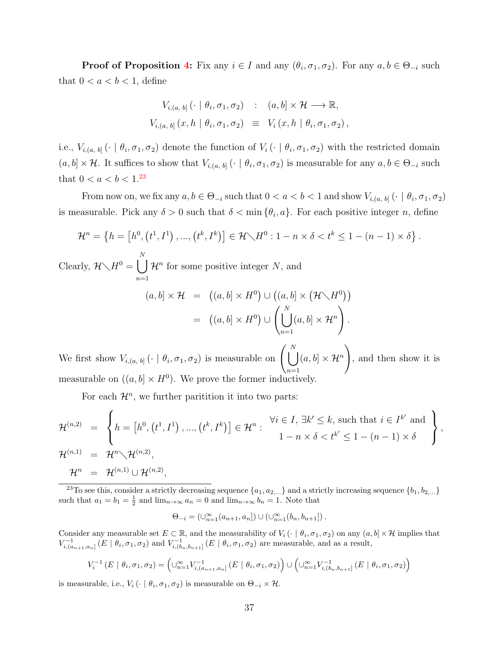**Proof of Proposition [4:](#page-35-1)** Fix any  $i \in I$  and any  $(\theta_i, \sigma_1, \sigma_2)$ . For any  $a, b \in \Theta_{-i}$  such that  $0 < a < b < 1$ , define

$$
V_{i,(a, b]}(\cdot \mid \theta_i, \sigma_1, \sigma_2) \quad : \quad (a, b] \times \mathcal{H} \longrightarrow \mathbb{R},
$$
  

$$
V_{i,(a, b]}(x, h \mid \theta_i, \sigma_1, \sigma_2) \equiv V_i(x, h \mid \theta_i, \sigma_1, \sigma_2),
$$

i.e.,  $V_{i,(a, b]}$  ( $\cdot \mid \theta_i, \sigma_1, \sigma_2$ ) denote the function of  $V_i$  ( $\cdot \mid \theta_i, \sigma_1, \sigma_2$ ) with the restricted domain  $(a, b] \times H$ . It suffices to show that  $V_{i,(a, b]} \left( \cdot \mid \theta_i, \sigma_1, \sigma_2 \right)$  is measurable for any  $a, b \in \Theta_{-i}$  such that  $0 < a < b < 1.^{23}$  $0 < a < b < 1.^{23}$  $0 < a < b < 1.^{23}$ 

From now on, we fix any  $a, b \in \Theta_{-i}$  such that  $0 < a < b < 1$  and show  $V_{i,(a, b]} \left( \cdot \mid \theta_i, \sigma_1, \sigma_2 \right)$ is measurable. Pick any  $\delta > 0$  such that  $\delta < \min{\{\theta_i, a\}}$ . For each positive integer n, define

$$
\mathcal{H}^{n} = \left\{ h = \left[ h^{0}, \left( t^{1}, I^{1} \right), ..., \left( t^{k}, I^{k} \right) \right] \in \mathcal{H} \setminus H^{0} : 1 - n \times \delta < t^{k} \leq 1 - (n - 1) \times \delta \right\}.
$$

Clearly,  $\mathcal{H}\setminus H^0=\begin{bmatrix} \end{bmatrix}$ N  $n=1$  $\mathcal{H}^n$  for some positive integer N, and

$$
(a, b] \times \mathcal{H} = ((a, b] \times H^0) \cup ((a, b] \times (\mathcal{H} \setminus H^0))
$$
  
= 
$$
((a, b] \times H^0) \cup \left(\bigcup_{n=1}^N (a, b] \times \mathcal{H}^n\right).
$$

We first show  $V_{i,(a, b]} \left( \cdot \mid \theta_i, \sigma_1, \sigma_2 \right)$  is measurable on  $\begin{pmatrix} N \\ V \end{pmatrix}$  $n=1$  $(a, b] \times \mathcal{H}^n$  $\setminus$ , and then show it is measurable on  $((a, b] \times H^0)$ . We prove the former inductively.

For each  $\mathcal{H}^n$ , we further paritition it into two parts:

$$
\mathcal{H}^{(n,2)} = \left\{ h = \left[h^0, \left(t^1, I^1\right), \dots, \left(t^k, I^k\right)\right] \in \mathcal{H}^n : \begin{array}{l} \forall i \in I, \, \exists k' \leq k, \text{ such that } i \in I^{k'} \text{ and} \\ 1 - n \times \delta < t^{k'} \leq 1 - (n-1) \times \delta \end{array} \right\},
$$
  

$$
\mathcal{H}^{(n,1)} = \mathcal{H}^n \setminus \mathcal{H}^{(n,2)},
$$
  

$$
\mathcal{H}^n = \mathcal{H}^{(n,1)} \cup \mathcal{H}^{(n,2)},
$$

<span id="page-36-0"></span><sup>23</sup>To see this, consider a strictly decreasing sequence  $\{a_1, a_{2,...}\}$  and a strictly increasing sequence  $\{b_1, b_{2,...}\}$ such that  $a_1 = b_1 = \frac{1}{2}$  and  $\lim_{n \to \infty} a_n = 0$  and  $\lim_{n \to \infty} b_n = 1$ . Note that

$$
\Theta_{-i} = (\cup_{n=1}^{\infty} (a_{n+1}, a_n]) \cup (\cup_{n=1}^{\infty} (b_n, b_{n+1}]).
$$

Consider any measurable set  $E \subset \mathbb{R}$ , and the measurability of  $V_i(\cdot | \theta_i, \sigma_1, \sigma_2)$  on any  $(a, b] \times \mathcal{H}$  implies that  $V_{i,(a_{n+1},a_n]}^{-1}(E \mid \theta_i, \sigma_1, \sigma_2)$  and  $V_{i,(b_n,b_{n+1}]}^{-1}(E \mid \theta_i, \sigma_1, \sigma_2)$  are measurable, and as a result,

$$
V_i^{-1}(E \mid \theta_i, \sigma_1, \sigma_2) = \left(\bigcup_{n=1}^{\infty} V_{i,(a_{n+1},a_n]}^{-1}(E \mid \theta_i, \sigma_1, \sigma_2)\right) \cup \left(\bigcup_{n=1}^{\infty} V_{i,(b_n,b_{n+1}]}^{-1}(E \mid \theta_i, \sigma_1, \sigma_2)\right)
$$

is measurable, i.e.,  $V_i$  ( $\cdot \mid \theta_i, \sigma_1, \sigma_2$ ) is measurable on  $\Theta_{-i} \times \mathcal{H}$ .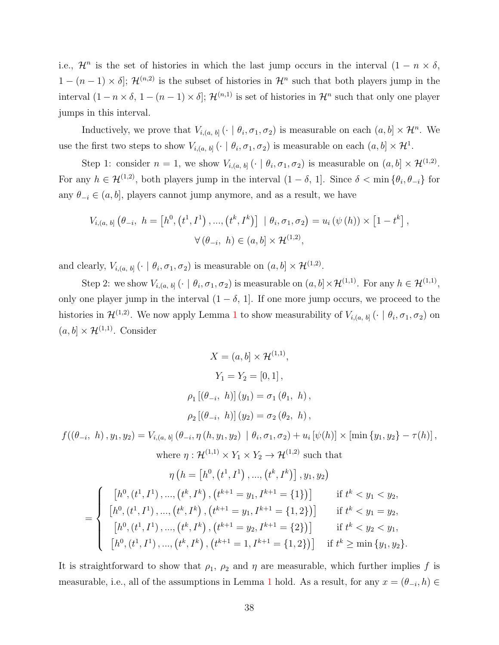i.e.,  $\mathcal{H}^n$  is the set of histories in which the last jump occurs in the interval  $(1 - n \times \delta,$  $1 - (n-1) \times \delta$ ;  $\mathcal{H}^{(n,2)}$  is the subset of histories in  $\mathcal{H}^n$  such that both players jump in the interval  $(1 - n \times \delta, 1 - (n - 1) \times \delta];$   $\mathcal{H}^{(n,1)}$  is set of histories in  $\mathcal{H}^n$  such that only one player jumps in this interval.

Inductively, we prove that  $V_{i,(a, b]}$  ( $\cdot \mid \theta_i, \sigma_1, \sigma_2$ ) is measurable on each  $(a, b] \times \mathcal{H}^n$ . We use the first two steps to show  $V_{i,(a, b]} (\cdot | \theta_i, \sigma_1, \sigma_2)$  is measurable on each  $(a, b] \times \mathcal{H}^1$ .

Step 1: consider  $n = 1$ , we show  $V_{i,(a, b]} \left( \cdot \mid \theta_i, \sigma_1, \sigma_2 \right)$  is measurable on  $(a, b] \times \mathcal{H}^{(1,2)}$ . For any  $h \in \mathcal{H}^{(1,2)}$ , both players jump in the interval  $(1 - \delta, 1]$ . Since  $\delta < \min{\{\theta_i, \theta_{-i}\}}$  for any  $\theta_{-i} \in (a, b]$ , players cannot jump anymore, and as a result, we have

$$
V_{i,(a, b]} (\theta_{-i}, h = [h^0, (t^1, I^1), ..., (t^k, I^k)] | \theta_i, \sigma_1, \sigma_2) = u_i (\psi(h)) \times [1 - t^k],
$$
  

$$
\forall (\theta_{-i}, h) \in (a, b] \times \mathcal{H}^{(1,2)},
$$

and clearly,  $V_{i,(a, b]} \left( \cdot \mid \theta_i, \sigma_1, \sigma_2 \right)$  is measurable on  $(a, b] \times \mathcal{H}^{(1,2)}$ .

Step 2: we show  $V_{i,(a, b]} \left( \cdot \mid \theta_i, \sigma_1, \sigma_2 \right)$  is measurable on  $(a, b] \times \mathcal{H}^{(1,1)}$ . For any  $h \in \mathcal{H}^{(1,1)}$ , only one player jump in the interval  $(1 - \delta, 1]$ . If one more jump occurs, we proceed to the histories in  $\mathcal{H}^{(1,2)}$  $\mathcal{H}^{(1,2)}$  $\mathcal{H}^{(1,2)}$ . We now apply Lemma 1 to show measurability of  $V_{i,(a, b]}$  ( $\cdot$  |  $\theta_i, \sigma_1, \sigma_2$ ) on  $(a, b] \times \mathcal{H}^{(1,1)}$ . Consider

$$
X = (a, b] \times \mathcal{H}^{(1,1)},
$$
  
\n
$$
Y_1 = Y_2 = [0, 1],
$$
  
\n
$$
\rho_1 [(\theta_{-i}, h)] (y_1) = \sigma_1 (\theta_1, h),
$$
  
\n
$$
\rho_2 [(\theta_{-i}, h)] (y_2) = \sigma_2 (\theta_2, h),
$$

 $f((\theta_{-i}, h), y_1, y_2) = V_{i,(a, b]}(\theta_{-i}, \eta(h, y_1, y_2) \mid \theta_i, \sigma_1, \sigma_2) + u_i \left[ \psi(h) \right] \times \left[ \min \left\{ y_1, y_2 \right\} - \tau(h) \right],$ where  $\eta: \mathcal{H}^{(1,1)} \times Y_1 \times Y_2 \to \mathcal{H}^{(1,2)}$  such that

$$
\eta\left(h = \left[h^0, \left(t^1, I^1\right), \dots, \left(t^k, I^k\right)\right], y_1, y_2\right)
$$
\n
$$
= \begin{cases}\n\left[h^0, \left(t^1, I^1\right), \dots, \left(t^k, I^k\right), \left(t^{k+1} = y_1, I^{k+1} = \{1\}\right)\right] & \text{if } t^k < y_1 < y_2, \\
\left[h^0, \left(t^1, I^1\right), \dots, \left(t^k, I^k\right), \left(t^{k+1} = y_1, I^{k+1} = \{1, 2\}\right)\right] & \text{if } t^k < y_1 = y_2, \\
\left[h^0, \left(t^1, I^1\right), \dots, \left(t^k, I^k\right), \left(t^{k+1} = y_2, I^{k+1} = \{2\}\right)\right] & \text{if } t^k < y_2 < y_1, \\
\left[h^0, \left(t^1, I^1\right), \dots, \left(t^k, I^k\right), \left(t^{k+1} = 1, I^{k+1} = \{1, 2\}\right)\right] & \text{if } t^k \ge \min \{y_1, y_2\}.\n\end{cases}
$$

It is straightforward to show that  $\rho_1$ ,  $\rho_2$  and  $\eta$  are measurable, which further implies f is measurable, i.e., all of the assumptions in Lemma [1](#page-35-2) hold. As a result, for any  $x = (\theta_{-i}, h) \in$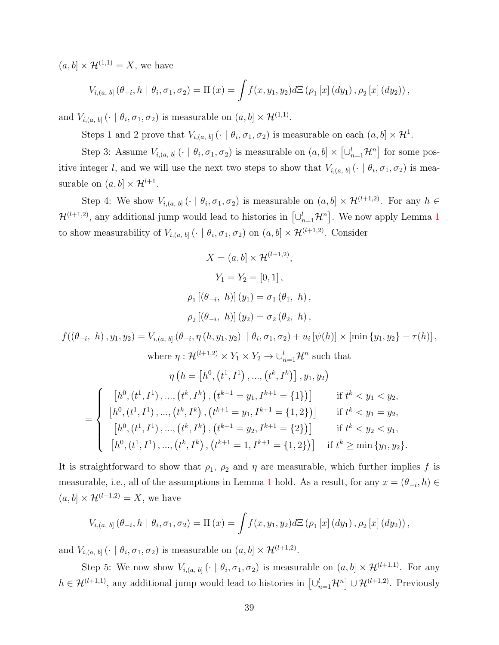$(a, b] \times \mathcal{H}^{(1,1)} = X$ , we have

$$
V_{i,(a, b]}(\theta_{-i}, h \mid \theta_i, \sigma_1, \sigma_2) = \Pi(x) = \int f(x, y_1, y_2) d\Xi (\rho_1[x] (dy_1), \rho_2[x] (dy_2)),
$$

and  $V_{i,(a, b]} \left( \cdot \mid \theta_i, \sigma_1, \sigma_2 \right)$  is measurable on  $(a, b] \times \mathcal{H}^{(1,1)}$ .

Steps 1 and 2 prove that  $V_{i,(a, b]}$  ( $\cdot \mid \theta_i, \sigma_1, \sigma_2$ ) is measurable on each  $(a, b] \times \mathcal{H}^1$ .

Step 3: Assume  $V_{i,(a, b]} \left( \cdot \mid \theta_i, \sigma_1, \sigma_2 \right)$  is measurable on  $(a, b] \times \left[ \cup_{n=1}^l \mathcal{H}^n \right]$  for some positive integer l, and we will use the next two steps to show that  $V_{i,(a, b]}$  ( $\cdot$  |  $\theta_i, \sigma_1, \sigma_2$ ) is measurable on  $(a, b] \times \mathcal{H}^{l+1}$ .

Step 4: We show  $V_{i,(a, b]} \left( \cdot \mid \theta_i, \sigma_1, \sigma_2 \right)$  is measurable on  $(a, b] \times \mathcal{H}^{(l+1,2)}$ . For any  $h \in$  $\mathcal{H}^{(l+1,2)}$  $\mathcal{H}^{(l+1,2)}$  $\mathcal{H}^{(l+1,2)}$ , any additional jump would lead to histories in  $[\cup_{n=1}^{l} \mathcal{H}^n]$ . We now apply Lemma 1 to show measurability of  $V_{i,(a, b]} \left( \cdot \mid \theta_i, \sigma_1, \sigma_2 \right)$  on  $(a, b] \times \mathcal{H}^{(l+1,2)}$ . Consider

$$
X = (a, b] \times \mathcal{H}^{(l+1,2)},
$$
\n
$$
Y_1 = Y_2 = [0, 1],
$$
\n
$$
\rho_1 [(\theta_{-i}, h)] (y_1) = \sigma_1 (\theta_1, h),
$$
\n
$$
\rho_2 [(\theta_{-i}, h)] (y_2) = \sigma_2 (\theta_2, h),
$$
\n
$$
f((\theta_{-i}, h), y_1, y_2) = V_{i,(a, b]} (\theta_{-i}, \eta(h, y_1, y_2) | \theta_i, \sigma_1, \sigma_2) + u_i [\psi(h)] \times [\min \{y_1, y_2\} - \tau(h)],
$$
\nwhere  $\eta : \mathcal{H}^{(l+1,2)} \times Y_1 \times Y_2 \to \bigcup_{n=1}^l \mathcal{H}^n$  such that\n
$$
\eta \left( h = \left[ h^0, (t^1, I^1), ..., (t^k, I^k) \right], y_1, y_2 \right)
$$
\n
$$
= \begin{cases}\n\left[ h^0, (t^1, I^1), ..., (t^k, I^k), (t^{k+1} = y_1, I^{k+1} = \{1\}) \right] & \text{if } t^k < y_1 < y_2, \\
\left[ h^0, (t^1, I^1), ..., (t^k, I^k), (t^{k+1} = y_1, I^{k+1} = \{1, 2\}) \right] & \text{if } t^k < y_1 = y_2, \\
\left[ h^0, (t^1, I^1), ..., (t^k, I^k), (t^{k+1} = y_2, I^{k+1} = \{2\}) \right] & \text{if } t^k < y_2 < y_1, \\
\left[ h^0, (t^1, I^1), ..., (t^k, I^k), (t^{k+1} = 1, I^{k+1} = \{1, 2\}) \right] & \text{if } t^k \ge \min \{y_1, y_2\}.\n\end{cases}
$$

It is straightforward to show that  $\rho_1$ ,  $\rho_2$  and  $\eta$  are measurable, which further implies f is measurable, i.e., all of the assumptions in Lemma [1](#page-35-2) hold. As a result, for any  $x = (\theta_{-i}, h) \in$  $(a, b] \times \mathcal{H}^{(l+1,2)} = X$ , we have

$$
V_{i,(a, b]}(\theta_{-i}, h \mid \theta_i, \sigma_1, \sigma_2) = \Pi(x) = \int f(x, y_1, y_2) d\Xi(\rho_1[x] (dy_1), \rho_2[x] (dy_2)),
$$

and  $V_{i,(a, b]} \left( \cdot \mid \theta_i, \sigma_1, \sigma_2 \right)$  is measurable on  $(a, b] \times \mathcal{H}^{(l+1,2)}$ .

Step 5: We now show  $V_{i,(a, b]}$  ( $\cdot \mid \theta_i, \sigma_1, \sigma_2$ ) is measurable on  $(a, b] \times \mathcal{H}^{(l+1,1)}$ . For any  $h \in \mathcal{H}^{(l+1,1)}$ , any additional jump would lead to histories in  $\left[\cup_{n=1}^{l} \mathcal{H}^{n}\right] \cup \mathcal{H}^{(l+1,2)}$ . Previously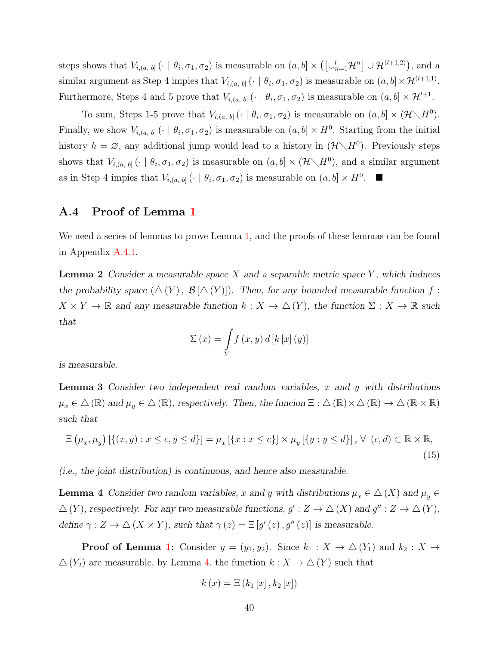steps shows that  $V_{i,(a, b]} \left( \cdot \mid \theta_i, \sigma_1, \sigma_2 \right)$  is measurable on  $(a, b] \times \left( \left[ \cup_{n=1}^l \mathcal{H}^n \right] \cup \mathcal{H}^{(l+1,2)} \right)$ , and a similar argument as Step 4 impies that  $V_{i,(a, b]}$  ( $\cdot \mid \theta_i, \sigma_1, \sigma_2$ ) is measurable on  $(a, b] \times \mathcal{H}^{(l+1,1)}$ . Furthermore, Steps 4 and 5 prove that  $V_{i,(a, b]}$  ( $\cdot \mid \theta_i, \sigma_1, \sigma_2$ ) is measurable on  $(a, b] \times \mathcal{H}^{l+1}$ .

To sum, Steps 1-5 prove that  $V_{i,(a, b]} \left( \cdot \mid \theta_i, \sigma_1, \sigma_2 \right)$  is measurable on  $(a, b] \times (\mathcal{H} \setminus H^0)$ . Finally, we show  $V_{i,(a, b]}$  ( $\cdot \mid \theta_i, \sigma_1, \sigma_2$ ) is measurable on  $(a, b] \times H^0$ . Starting from the initial history  $h = \emptyset$ , any additional jump would lead to a history in  $(\mathcal{H} \setminus H^0)$ . Previously steps shows that  $V_{i,(a, b]}$  ( $\cdot \mid \theta_i, \sigma_1, \sigma_2$ ) is measurable on  $(a, b] \times (\mathcal{H} \setminus H^0)$ , and a similar argument as in Step 4 impies that  $V_{i,(a, b]}$  ( $\cdot \mid \theta_i, \sigma_1, \sigma_2$ ) is measurable on  $(a, b] \times H^0$ .

### <span id="page-39-0"></span>A.4 Proof of Lemma [1](#page-35-2)

We need a series of lemmas to prove Lemma [1,](#page-35-2) and the proofs of these lemmas can be found in Appendix [A.4.1.](#page-40-0)

<span id="page-39-2"></span>**Lemma 2** Consider a measurable space X and a separable metric space Y, which induces the probability space  $(\Delta(Y), \mathcal{B}[\Delta(Y)])$ . Then, for any bounded measurable function f:  $X \times Y \to \mathbb{R}$  and any measurable function  $k : X \to \Delta(Y)$ , the function  $\Sigma : X \to \mathbb{R}$  such that

$$
\Sigma(x) = \int\limits_Y f(x, y) d[k[x](y)]
$$

is measurable.

<span id="page-39-3"></span>**Lemma 3** Consider two independent real random variables, x and y with distributions  $\mu_x \in \Delta(\mathbb{R})$  and  $\mu_y \in \Delta(\mathbb{R})$ , respectively. Then, the funcion  $\Xi : \Delta(\mathbb{R}) \times \Delta(\mathbb{R}) \to \Delta(\mathbb{R} \times \mathbb{R})$ such that

<span id="page-39-4"></span>
$$
\Xi\left(\mu_x,\mu_y\right)\left[\{(x,y):x\leq c,y\leq d\}\right]=\mu_x\left[\{x:x\leq c\}\right]\times\mu_y\left[\{y:y\leq d\}\right],\,\forall\,\,(c,d)\subset\mathbb{R}\times\mathbb{R},\tag{15}
$$

(i.e., the joint distribution) is continuous, and hence also measurable.

<span id="page-39-1"></span>**Lemma 4** Consider two random variables, x and y with distributions  $\mu_x \in \Delta(X)$  and  $\mu_y \in$  $\Delta(Y)$ , respectively. For any two measurable functions,  $g': Z \to \Delta(X)$  and  $g'': Z \to \Delta(Y)$ , define  $\gamma: Z \to \triangle (X \times Y)$ , such that  $\gamma(z) = \Xi[g'(z), g''(z)]$  is measurable.

**Proof of Lemma [1:](#page-35-2)** Consider  $y = (y_1, y_2)$ . Since  $k_1 : X \to \Delta(Y_1)$  and  $k_2 : X \to$  $\Delta(Y_2)$  are measurable, by Lemma [4,](#page-39-1) the function  $k : X \to \Delta(Y)$  such that

$$
k(x) = \Xi(k_1[x], k_2[x])
$$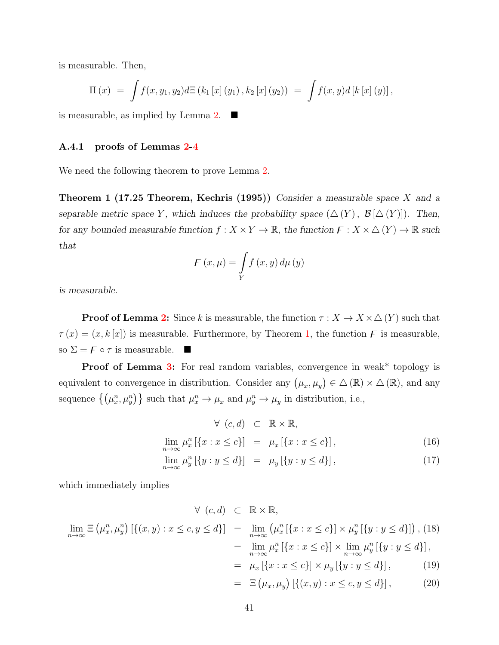is measurable. Then,

$$
\Pi(x) = \int f(x, y_1, y_2) dE(k_1[x](y_1), k_2[x](y_2)) = \int f(x, y) d[k[x](y)],
$$

is measurable, as implied by Lemma [2.](#page-39-2)  $\blacksquare$ 

#### <span id="page-40-0"></span>A.4.1 proofs of Lemmas [2-](#page-39-2)[4](#page-39-1)

<span id="page-40-1"></span>We need the following theorem to prove Lemma [2.](#page-39-2)

**Theorem 1 (17.25 Theorem, Kechris (1995))** Consider a measurable space X and a separable metric space Y, which induces the probability space  $(\Delta(Y), \mathcal{B}[\Delta(Y)])$ . Then, for any bounded measurable function  $f: X \times Y \to \mathbb{R}$ , the function  $F: X \times \Delta(Y) \to \mathbb{R}$  such that

$$
F(x,\mu) = \int\limits_Y f(x,y) \, d\mu(y)
$$

is measurable.

**Proof of Lemma [2:](#page-39-2)** Since k is measurable, the function  $\tau : X \to X \times \Delta(Y)$  such that  $\tau(x) = (x, k[x])$  is measurable. Furthermore, by Theorem [1,](#page-40-1) the function F is measurable, so  $\Sigma = F \circ \tau$  is measurable.

**Proof of Lemma [3:](#page-39-3)** For real random variables, convergence in weak\* topology is equivalent to convergence in distribution. Consider any  $(\mu_x, \mu_y) \in \Delta(\mathbb{R}) \times \Delta(\mathbb{R})$ , and any sequence  $\{(\mu^n_x, \mu^n_y)\}\$  such that  $\mu^n_x \to \mu_x$  and  $\mu^n_y \to \mu_y$  in distribution, i.e.,

<span id="page-40-3"></span>
$$
\forall (c, d) \subset \mathbb{R} \times \mathbb{R},
$$

$$
\lim_{n \to \infty} \mu_x^n [\{x : x \le c\}] = \mu_x [\{x : x \le c\}], \tag{16}
$$

<span id="page-40-2"></span>
$$
\lim_{n \to \infty} \mu_y^n [\{ y : y \le d \}] = \mu_y [\{ y : y \le d \}], \tag{17}
$$

which immediately implies

$$
\forall (c,d) \subset \mathbb{R} \times \mathbb{R},
$$
  
\n
$$
\lim_{n \to \infty} \Xi(\mu_x^n, \mu_y^n) [\{(x, y) : x \le c, y \le d\}] = \lim_{n \to \infty} (\mu_x^n [\{x : x \le c\}] \times \mu_y^n [\{y : y \le d\}]), (18)
$$
  
\n
$$
= \lim_{n \to \infty} \mu_x^n [\{x : x \le c\}] \times \lim_{n \to \infty} \mu_y^n [\{y : y \le d\}],
$$
  
\n
$$
= \mu_x [\{x : x \le c\}] \times \mu_y [\{y : y \le d\}],
$$
 (19)

$$
= \ \Xi\left(\mu_x, \mu_y\right) \left[\{(x, y) : x \le c, y \le d\}\right],\tag{20}
$$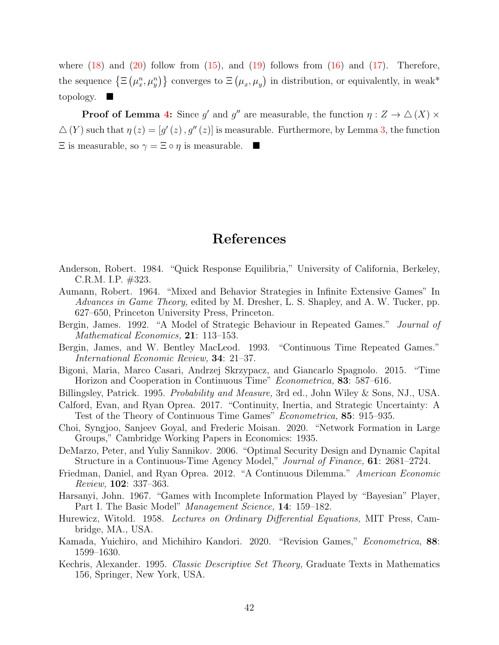where  $(18)$  and  $(20)$  follow from  $(15)$ , and  $(19)$  follows from  $(16)$  and  $(17)$ . Therefore, the sequence  $\{\Xi\left(\mu_x^n,\mu_y^n\right)\}$  converges to  $\Xi\left(\mu_x,\mu_y\right)$  in distribution, or equivalently, in weak\* topology.

**Proof of Lemma [4:](#page-39-1)** Since g' and g'' are measurable, the function  $\eta : Z \to \Delta(X) \times$  $\Delta(Y)$  such that  $\eta(z) = [g'(z), g''(z)]$  is measurable. Furthermore, by Lemma [3,](#page-39-3) the function  $\Xi$  is measurable, so  $\gamma = \Xi \circ \eta$  is measurable.

### References

- Anderson, Robert. 1984. "Quick Response Equilibria," University of California, Berkeley, C.R.M. I.P. #323.
- Aumann, Robert. 1964. "Mixed and Behavior Strategies in Infinite Extensive Games" In Advances in Game Theory, edited by M. Dresher, L. S. Shapley, and A. W. Tucker, pp. 627–650, Princeton University Press, Princeton.
- Bergin, James. 1992. "A Model of Strategic Behaviour in Repeated Games." Journal of Mathematical Economics, 21: 113–153.
- Bergin, James, and W. Bentley MacLeod. 1993. "Continuous Time Repeated Games." International Economic Review, 34: 21–37.
- Bigoni, Maria, Marco Casari, Andrzej Skrzypacz, and Giancarlo Spagnolo. 2015. "Time Horizon and Cooperation in Continuous Time" Econometrica, 83: 587–616.
- Billingsley, Patrick. 1995. Probability and Measure, 3rd ed., John Wiley & Sons, NJ., USA.
- Calford, Evan, and Ryan Oprea. 2017. "Continuity, Inertia, and Strategic Uncertainty: A Test of the Theory of Continuous Time Games" Econometrica, 85: 915–935.
- Choi, Syngjoo, Sanjeev Goyal, and Frederic Moisan. 2020. "Network Formation in Large Groups," Cambridge Working Papers in Economics: 1935.
- DeMarzo, Peter, and Yuliy Sannikov. 2006. "Optimal Security Design and Dynamic Capital Structure in a Continuous-Time Agency Model," Journal of Finance, 61: 2681–2724.
- Friedman, Daniel, and Ryan Oprea. 2012. "A Continuous Dilemma." American Economic Review, 102: 337–363.
- Harsanyi, John. 1967. "Games with Incomplete Information Played by "Bayesian" Player, Part I. The Basic Model" *Management Science*, **14**: 159–182.
- Hurewicz, Witold. 1958. Lectures on Ordinary Differential Equations, MIT Press, Cambridge, MA., USA.
- Kamada, Yuichiro, and Michihiro Kandori. 2020. "Revision Games," Econometrica, 88: 1599–1630.
- Kechris, Alexander. 1995. Classic Descriptive Set Theory, Graduate Texts in Mathematics 156, Springer, New York, USA.